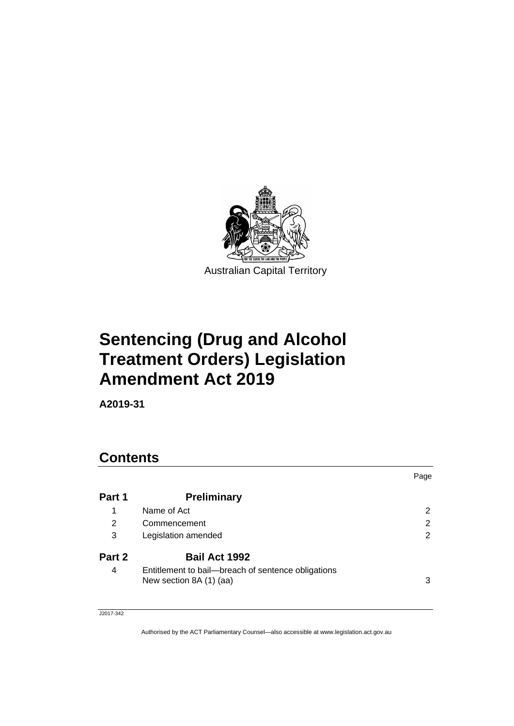

# **Sentencing (Drug and Alcohol Treatment Orders) Legislation Amendment Act 2019**

**A2019-31**

| <b>Contents</b> |                                                                               |      |
|-----------------|-------------------------------------------------------------------------------|------|
|                 |                                                                               | Page |
| Part 1          | <b>Preliminary</b>                                                            |      |
| 1               | Name of Act                                                                   | 2    |
| 2               | Commencement                                                                  | 2    |
| 3               | Legislation amended                                                           | 2    |
| Part 2          | Bail Act 1992                                                                 |      |
| 4               | Entitlement to bail-breach of sentence obligations<br>New section 8A (1) (aa) | 3    |

J2017-342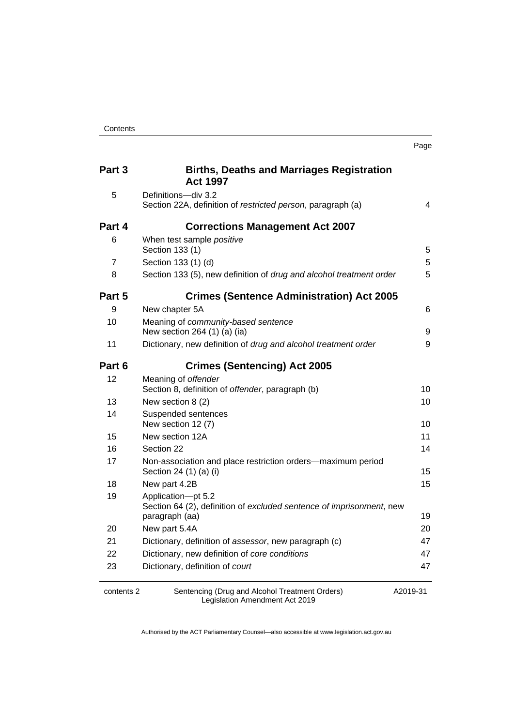| Part 3     | <b>Births, Deaths and Marriages Registration</b><br><b>Act 1997</b>                                          |          |
|------------|--------------------------------------------------------------------------------------------------------------|----------|
| 5          | Definitions-div 3.2<br>Section 22A, definition of restricted person, paragraph (a)                           | 4        |
| Part 4     | <b>Corrections Management Act 2007</b>                                                                       |          |
| 6          | When test sample positive<br>Section 133 (1)                                                                 | 5        |
| 7          | Section 133 (1) (d)                                                                                          | 5        |
| 8          | Section 133 (5), new definition of drug and alcohol treatment order                                          | 5        |
| Part 5     | <b>Crimes (Sentence Administration) Act 2005</b>                                                             |          |
| 9          | New chapter 5A                                                                                               | 6        |
| 10         | Meaning of community-based sentence<br>New section 264 (1) (a) (ia)                                          | 9        |
| 11         | Dictionary, new definition of drug and alcohol treatment order                                               | 9        |
| Part 6     | <b>Crimes (Sentencing) Act 2005</b>                                                                          |          |
| 12         | Meaning of offender<br>Section 8, definition of offender, paragraph (b)                                      | 10       |
| 13         | New section 8 (2)                                                                                            | 10       |
| 14         | Suspended sentences<br>New section 12 (7)                                                                    | 10       |
| 15         | New section 12A                                                                                              | 11       |
| 16         | Section 22                                                                                                   | 14       |
| 17         | Non-association and place restriction orders-maximum period<br>Section 24 (1) (a) (i)                        | 15       |
| 18         | New part 4.2B                                                                                                | 15       |
| 19         | Application-pt 5.2<br>Section 64 (2), definition of excluded sentence of imprisonment, new<br>paragraph (aa) | 19       |
| 20         | New part 5.4A                                                                                                | 20       |
| 21         | Dictionary, definition of assessor, new paragraph (c)                                                        | 47       |
| 22         | Dictionary, new definition of core conditions                                                                | 47       |
| 23         | Dictionary, definition of court                                                                              | 47       |
| contents 2 | Sentencing (Drug and Alcohol Treatment Orders)<br>Legislation Amendment Act 2019                             | A2019-31 |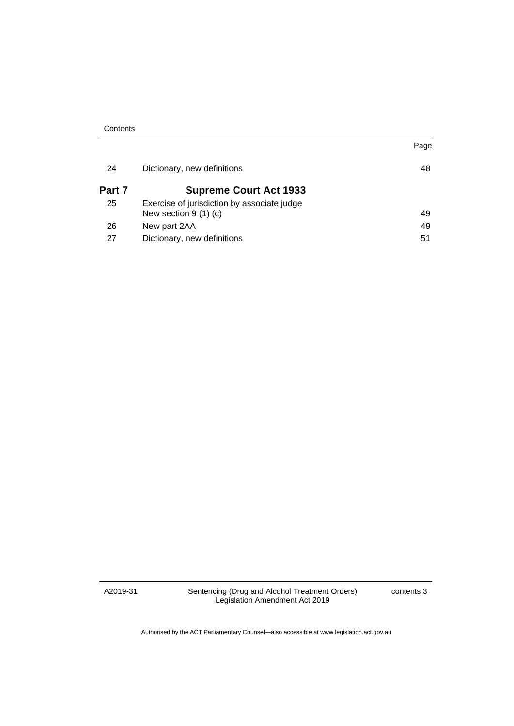| Contents |
|----------|
|----------|

| 24     | Dictionary, new definitions                                          | 48 |
|--------|----------------------------------------------------------------------|----|
| Part 7 | <b>Supreme Court Act 1933</b>                                        |    |
| 25     | Exercise of jurisdiction by associate judge<br>New section $9(1)(c)$ | 49 |
| 26     | New part 2AA                                                         | 49 |
| 27     | Dictionary, new definitions                                          | 51 |

A2019-31

Sentencing (Drug and Alcohol Treatment Orders) Legislation Amendment Act 2019

contents 3

Page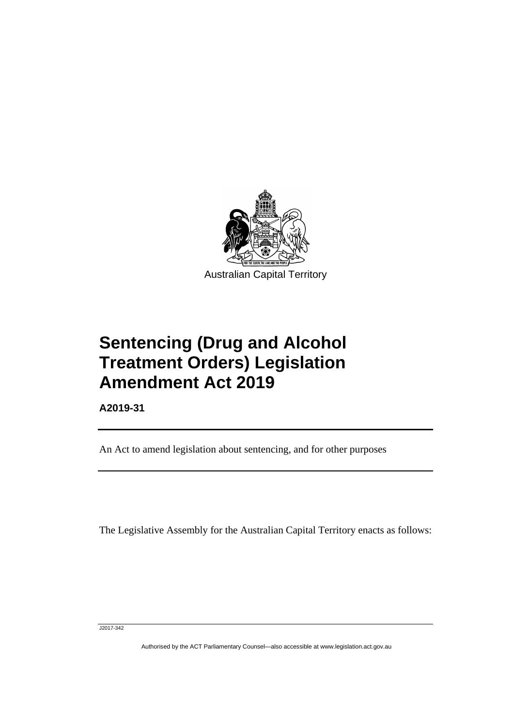

**Sentencing (Drug and Alcohol Treatment Orders) Legislation Amendment Act 2019**

**A2019-31**

Ī

An Act to amend legislation about sentencing, and for other purposes

The Legislative Assembly for the Australian Capital Territory enacts as follows:

J2017-342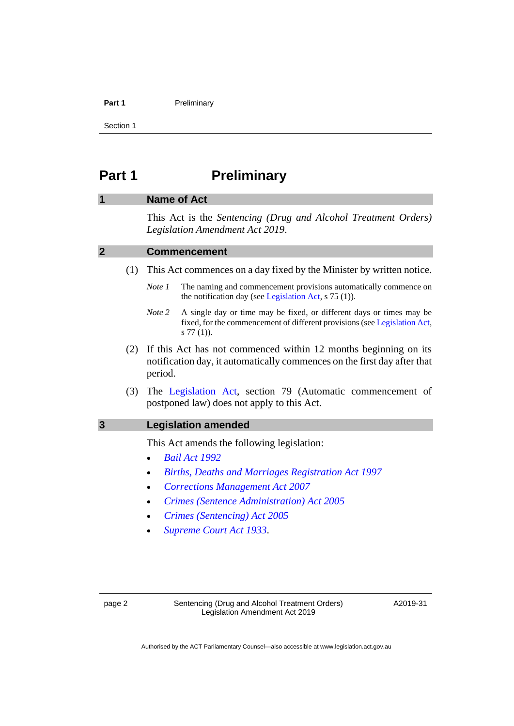#### **Part 1** Preliminary

Section 1

# <span id="page-5-0"></span>**Part 1 Preliminary**

### <span id="page-5-1"></span>**1 Name of Act**

This Act is the *Sentencing (Drug and Alcohol Treatment Orders) Legislation Amendment Act 2019*.

#### <span id="page-5-2"></span>**2 Commencement**

- (1) This Act commences on a day fixed by the Minister by written notice.
	- *Note 1* The naming and commencement provisions automatically commence on the notification day (see [Legislation Act,](http://www.legislation.act.gov.au/a/2001-14) s 75 (1)).
	- *Note 2* A single day or time may be fixed, or different days or times may be fixed, for the commencement of different provisions (se[e Legislation Act,](http://www.legislation.act.gov.au/a/2001-14) s 77 (1)).
- (2) If this Act has not commenced within 12 months beginning on its notification day, it automatically commences on the first day after that period.
- (3) The [Legislation Act,](http://www.legislation.act.gov.au/a/2001-14) section 79 (Automatic commencement of postponed law) does not apply to this Act.

#### <span id="page-5-3"></span>**3 Legislation amended**

This Act amends the following legislation:

- *[Bail Act 1992](http://www.legislation.act.gov.au/a/1992-8)*
- *[Births, Deaths and Marriages Registration Act 1997](http://www.legislation.act.gov.au/a/1997-112)*
- *[Corrections Management Act 2007](http://www.legislation.act.gov.au/a/2007-15)*
- *[Crimes \(Sentence Administration\) Act 2005](http://www.legislation.act.gov.au/a/2005-59)*
- *[Crimes \(Sentencing\) Act 2005](http://www.legislation.act.gov.au/a/2005-58)*
- *[Supreme Court Act 1933](http://www.legislation.act.gov.au/a/1933-34)*.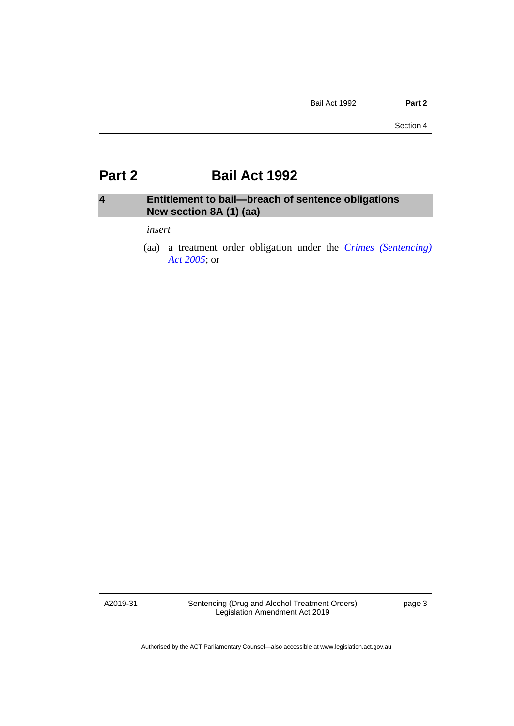# <span id="page-6-0"></span>**Part 2 Bail Act 1992**

# <span id="page-6-1"></span>**4 Entitlement to bail—breach of sentence obligations New section 8A (1) (aa)**

#### *insert*

(aa) a treatment order obligation under the *[Crimes \(Sentencing\)](http://www.legislation.act.gov.au/a/2005-58)  Act [2005](http://www.legislation.act.gov.au/a/2005-58)*; or

A2019-31

Sentencing (Drug and Alcohol Treatment Orders) Legislation Amendment Act 2019

page 3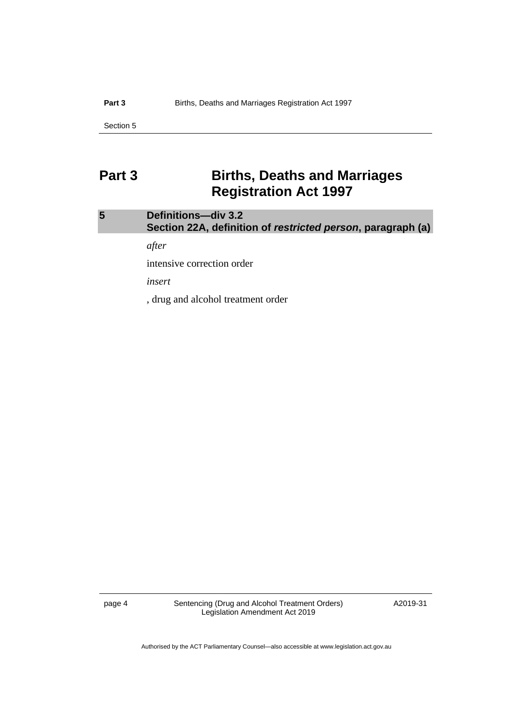# <span id="page-7-0"></span>**Part 3 Births, Deaths and Marriages Registration Act 1997**

# <span id="page-7-1"></span>**5 Definitions—div 3.2 Section 22A, definition of** *restricted person***, paragraph (a)**

*after*

intensive correction order

*insert*

, drug and alcohol treatment order

page 4 Sentencing (Drug and Alcohol Treatment Orders) Legislation Amendment Act 2019

A2019-31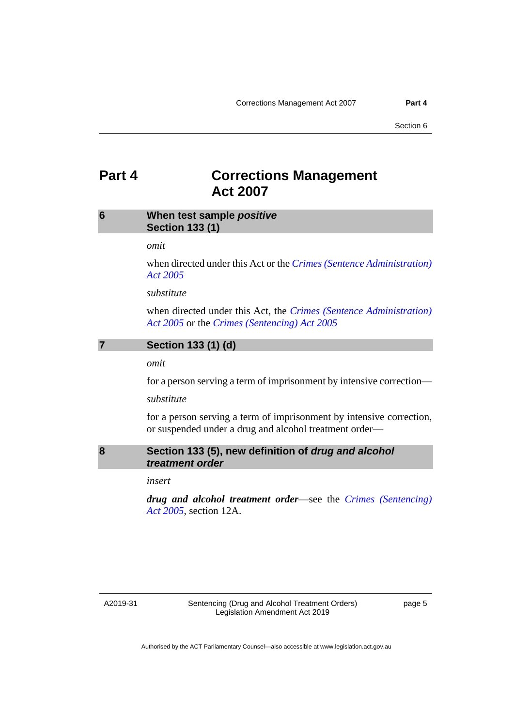# <span id="page-8-0"></span>**Part 4 Corrections Management Act 2007**

# <span id="page-8-1"></span>**6 When test sample** *positive* **Section 133 (1)**

#### *omit*

when directed under this Act or the *[Crimes \(Sentence Administration\)](http://www.legislation.act.gov.au/a/2005-59)  [Act 2005](http://www.legislation.act.gov.au/a/2005-59)*

#### *substitute*

when directed under this Act, the *[Crimes \(Sentence Administration\)](http://www.legislation.act.gov.au/a/2005-59)  [Act 2005](http://www.legislation.act.gov.au/a/2005-59)* or the *[Crimes \(Sentencing\) Act 2005](http://www.legislation.act.gov.au/a/2005-58)*

### <span id="page-8-2"></span>**7 Section 133 (1) (d)**

*omit*

for a person serving a term of imprisonment by intensive correction—

*substitute*

for a person serving a term of imprisonment by intensive correction, or suspended under a drug and alcohol treatment order—



# <span id="page-8-3"></span>**8 Section 133 (5), new definition of** *drug and alcohol treatment order*

*insert*

*drug and alcohol treatment order*—see the *[Crimes \(Sentencing\)](http://www.legislation.act.gov.au/a/2005-58)  Act [2005](http://www.legislation.act.gov.au/a/2005-58)*, section 12A.

#### A2019-31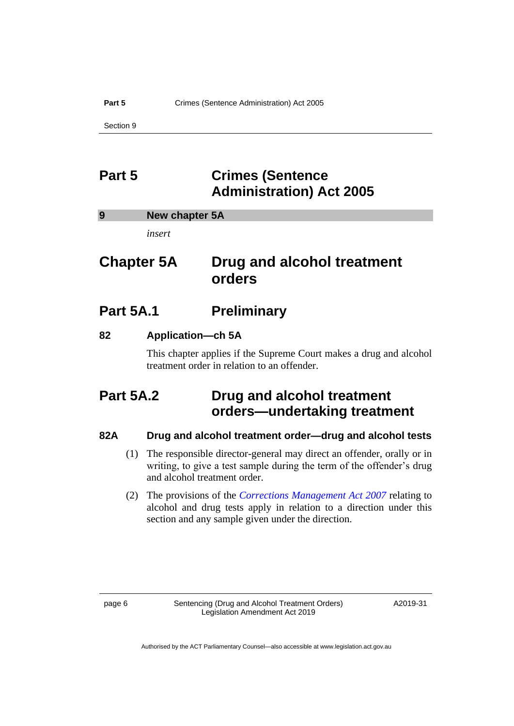#### **Part 5** Crimes (Sentence Administration) Act 2005

Section 9

# <span id="page-9-0"></span>**Part 5 Crimes (Sentence Administration) Act 2005**

<span id="page-9-1"></span>

| 9 | New chapter 5A |  |
|---|----------------|--|
|   |                |  |

*insert*

# **Chapter 5A Drug and alcohol treatment orders**

# **Part 5A.1 Preliminary**

# **82 Application—ch 5A**

This chapter applies if the Supreme Court makes a drug and alcohol treatment order in relation to an offender.

# **Part 5A.2 Drug and alcohol treatment orders—undertaking treatment**

# **82A Drug and alcohol treatment order—drug and alcohol tests**

- (1) The responsible director-general may direct an offender, orally or in writing, to give a test sample during the term of the offender's drug and alcohol treatment order.
- (2) The provisions of the *[Corrections Management Act 2007](http://www.legislation.act.gov.au/a/2007-15)* relating to alcohol and drug tests apply in relation to a direction under this section and any sample given under the direction.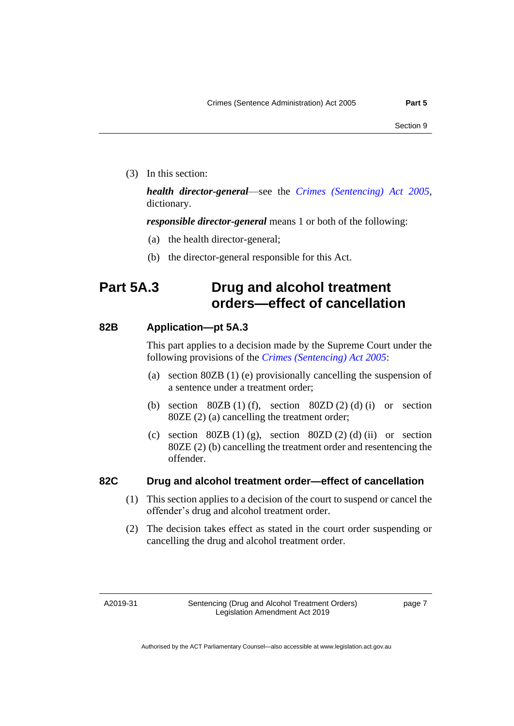(3) In this section:

*health director-general*—see the *[Crimes \(Sentencing\) Act 2005](http://www.legislation.act.gov.au/a/2005-58)*, dictionary.

*responsible director-general* means 1 or both of the following:

- (a) the health director-general;
- (b) the director-general responsible for this Act.

# **Part 5A.3 Drug and alcohol treatment orders—effect of cancellation**

### **82B Application—pt 5A.3**

This part applies to a decision made by the Supreme Court under the following provisions of the *[Crimes \(Sentencing\) Act 2005](http://www.legislation.act.gov.au/a/2005-58)*:

- (a) section 80ZB (1) (e) provisionally cancelling the suspension of a sentence under a treatment order;
- (b) section  $80ZB(1)$  (f), section  $80ZD(2)$  (d) (i) or section 80ZE (2) (a) cancelling the treatment order;
- (c) section  $80ZB(1)(g)$ , section  $80ZD(2)(d)$  (ii) or section 80ZE (2) (b) cancelling the treatment order and resentencing the offender.

# **82C Drug and alcohol treatment order—effect of cancellation**

- (1) This section applies to a decision of the court to suspend or cancel the offender's drug and alcohol treatment order.
- (2) The decision takes effect as stated in the court order suspending or cancelling the drug and alcohol treatment order.

A2019-31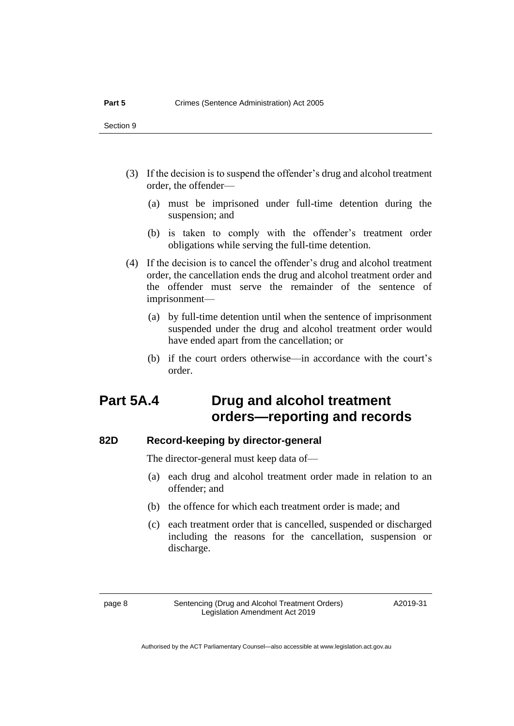- (3) If the decision is to suspend the offender's drug and alcohol treatment order, the offender—
	- (a) must be imprisoned under full-time detention during the suspension; and
	- (b) is taken to comply with the offender's treatment order obligations while serving the full-time detention.
- (4) If the decision is to cancel the offender's drug and alcohol treatment order, the cancellation ends the drug and alcohol treatment order and the offender must serve the remainder of the sentence of imprisonment—
	- (a) by full-time detention until when the sentence of imprisonment suspended under the drug and alcohol treatment order would have ended apart from the cancellation; or
	- (b) if the court orders otherwise—in accordance with the court's order.

# **Part 5A.4 Drug and alcohol treatment orders—reporting and records**

# **82D Record-keeping by director-general**

The director-general must keep data of—

- (a) each drug and alcohol treatment order made in relation to an offender; and
- (b) the offence for which each treatment order is made; and
- (c) each treatment order that is cancelled, suspended or discharged including the reasons for the cancellation, suspension or discharge.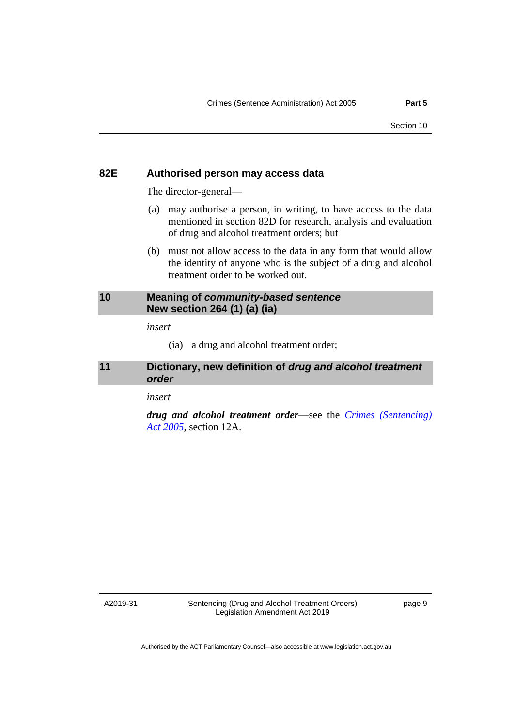#### **82E Authorised person may access data**

The director-general—

- (a) may authorise a person, in writing, to have access to the data mentioned in section 82D for research, analysis and evaluation of drug and alcohol treatment orders; but
- (b) must not allow access to the data in any form that would allow the identity of anyone who is the subject of a drug and alcohol treatment order to be worked out.

# <span id="page-12-0"></span>**10 Meaning of** *community-based sentence* **New section 264 (1) (a) (ia)**

*insert*

(ia) a drug and alcohol treatment order;

# <span id="page-12-1"></span>**11 Dictionary, new definition of** *drug and alcohol treatment order*

*insert*

*drug and alcohol treatment order—*see the *[Crimes \(Sentencing\)](http://www.legislation.act.gov.au/a/2005-58)  Act [2005](http://www.legislation.act.gov.au/a/2005-58)*, section 12A.

A2019-31

Sentencing (Drug and Alcohol Treatment Orders) Legislation Amendment Act 2019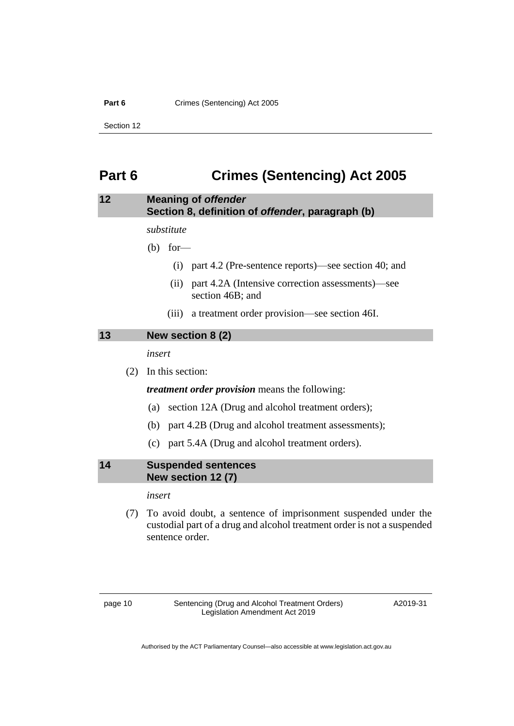#### **Part 6** Crimes (Sentencing) Act 2005

Section 12

# <span id="page-13-0"></span>**Part 6 Crimes (Sentencing) Act 2005**

# <span id="page-13-1"></span>**12 Meaning of** *offender* **Section 8, definition of** *offender***, paragraph (b)**

*substitute*

(b) for—

- (i) part 4.2 (Pre-sentence reports)—see section 40; and
- (ii) part 4.2A (Intensive correction assessments)—see section 46B; and
- (iii) a treatment order provision—see section 46I.

# <span id="page-13-2"></span>**13 New section 8 (2)**

*insert*

(2) In this section:

*treatment order provision* means the following:

- (a) section 12A (Drug and alcohol treatment orders);
- (b) part 4.2B (Drug and alcohol treatment assessments);
- (c) part 5.4A (Drug and alcohol treatment orders).

<span id="page-13-3"></span>**14 Suspended sentences New section 12 (7)**

*insert*

(7) To avoid doubt, a sentence of imprisonment suspended under the custodial part of a drug and alcohol treatment order is not a suspended sentence order.

page 10 Sentencing (Drug and Alcohol Treatment Orders) Legislation Amendment Act 2019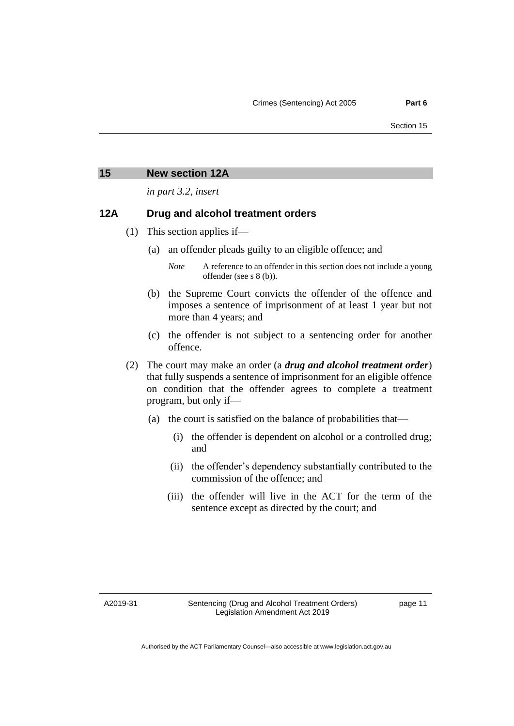#### <span id="page-14-0"></span>**15 New section 12A**

*in part 3.2, insert*

#### **12A Drug and alcohol treatment orders**

- (1) This section applies if—
	- (a) an offender pleads guilty to an eligible offence; and
		- *Note* A reference to an offender in this section does not include a young offender (see s 8 (b)).
	- (b) the Supreme Court convicts the offender of the offence and imposes a sentence of imprisonment of at least 1 year but not more than 4 years; and
	- (c) the offender is not subject to a sentencing order for another offence.
- (2) The court may make an order (a *drug and alcohol treatment order*) that fully suspends a sentence of imprisonment for an eligible offence on condition that the offender agrees to complete a treatment program, but only if—
	- (a) the court is satisfied on the balance of probabilities that—
		- (i) the offender is dependent on alcohol or a controlled drug; and
		- (ii) the offender's dependency substantially contributed to the commission of the offence; and
		- (iii) the offender will live in the ACT for the term of the sentence except as directed by the court; and

A2019-31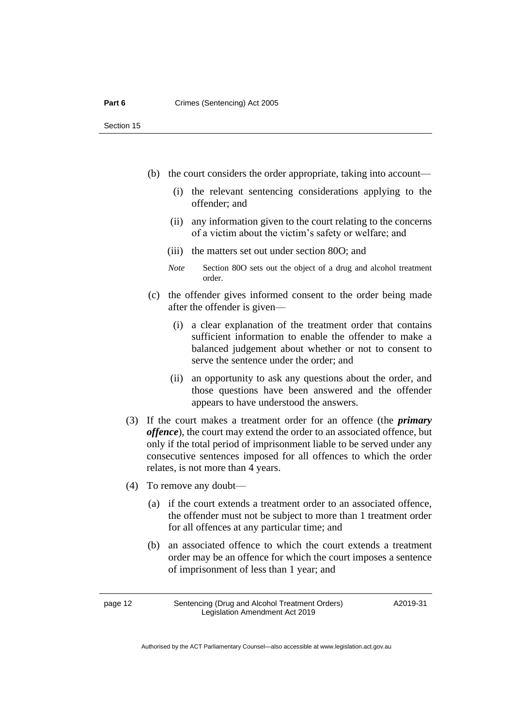- (b) the court considers the order appropriate, taking into account—
	- (i) the relevant sentencing considerations applying to the offender; and
	- (ii) any information given to the court relating to the concerns of a victim about the victim's safety or welfare; and
	- (iii) the matters set out under section 80O; and
	- *Note* Section 80O sets out the object of a drug and alcohol treatment order.
- (c) the offender gives informed consent to the order being made after the offender is given—
	- (i) a clear explanation of the treatment order that contains sufficient information to enable the offender to make a balanced judgement about whether or not to consent to serve the sentence under the order; and
	- (ii) an opportunity to ask any questions about the order, and those questions have been answered and the offender appears to have understood the answers.
- (3) If the court makes a treatment order for an offence (the *primary offence*), the court may extend the order to an associated offence, but only if the total period of imprisonment liable to be served under any consecutive sentences imposed for all offences to which the order relates, is not more than 4 years.
- (4) To remove any doubt––
	- (a) if the court extends a treatment order to an associated offence, the offender must not be subject to more than 1 treatment order for all offences at any particular time; and
	- (b) an associated offence to which the court extends a treatment order may be an offence for which the court imposes a sentence of imprisonment of less than 1 year; and

page 12 Sentencing (Drug and Alcohol Treatment Orders) Legislation Amendment Act 2019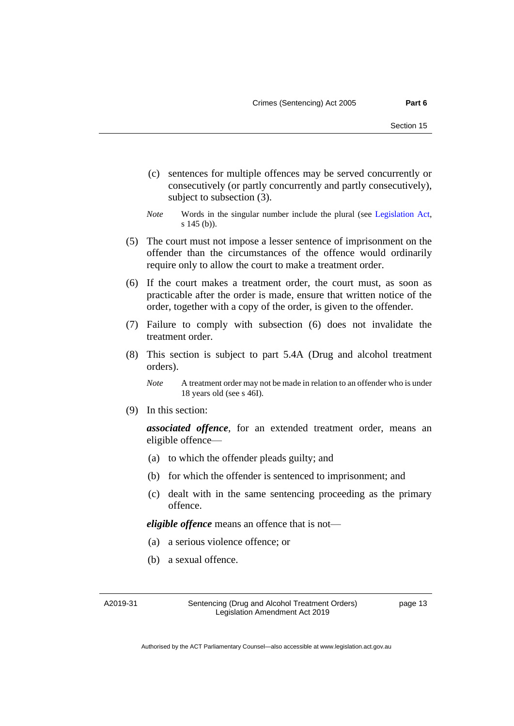- (c) sentences for multiple offences may be served concurrently or consecutively (or partly concurrently and partly consecutively), subject to subsection (3).
- *Note* Words in the singular number include the plural (see [Legislation Act,](http://www.legislation.act.gov.au/a/2001-14) s 145 (b)).
- (5) The court must not impose a lesser sentence of imprisonment on the offender than the circumstances of the offence would ordinarily require only to allow the court to make a treatment order.
- (6) If the court makes a treatment order, the court must, as soon as practicable after the order is made, ensure that written notice of the order, together with a copy of the order, is given to the offender.
- (7) Failure to comply with subsection (6) does not invalidate the treatment order.
- (8) This section is subject to part 5.4A (Drug and alcohol treatment orders).

(9) In this section:

*associated offence*, for an extended treatment order, means an eligible offence—

- (a) to which the offender pleads guilty; and
- (b) for which the offender is sentenced to imprisonment; and
- (c) dealt with in the same sentencing proceeding as the primary offence.

*eligible offence* means an offence that is not—

- (a) a serious violence offence; or
- (b) a sexual offence.

A2019-31

Sentencing (Drug and Alcohol Treatment Orders) Legislation Amendment Act 2019

*Note* A treatment order may not be made in relation to an offender who is under 18 years old (see s 46I).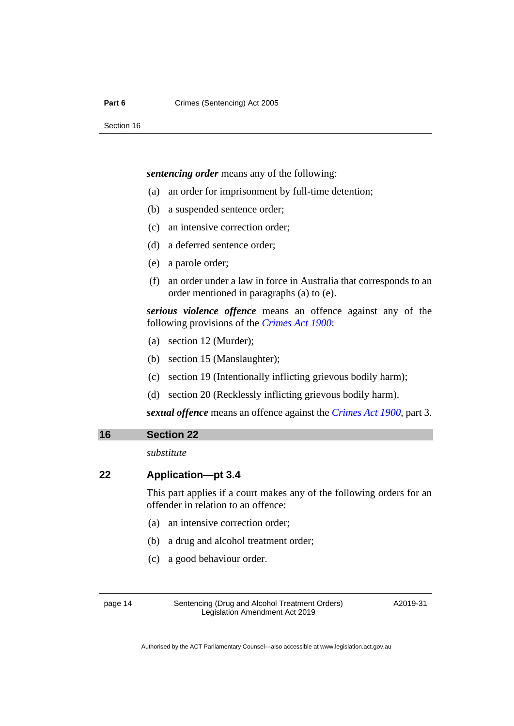*sentencing order* means any of the following:

- (a) an order for imprisonment by full-time detention;
- (b) a suspended sentence order;
- (c) an intensive correction order;
- (d) a deferred sentence order;
- (e) a parole order;
- (f) an order under a law in force in Australia that corresponds to an order mentioned in paragraphs (a) to (e).

*serious violence offence* means an offence against any of the following provisions of the *[Crimes Act 1900](http://www.legislation.act.gov.au/a/1900-40)*:

- (a) section 12 (Murder);
- (b) section 15 (Manslaughter);
- (c) section 19 (Intentionally inflicting grievous bodily harm);
- (d) section 20 (Recklessly inflicting grievous bodily harm).

*sexual offence* means an offence against the *[Crimes Act 1900](http://www.legislation.act.gov.au/a/1900-40)*, part 3.

#### <span id="page-17-0"></span>**16 Section 22**

*substitute*

#### **22 Application—pt 3.4**

This part applies if a court makes any of the following orders for an offender in relation to an offence:

- (a) an intensive correction order;
- (b) a drug and alcohol treatment order;
- (c) a good behaviour order.

page 14 Sentencing (Drug and Alcohol Treatment Orders) Legislation Amendment Act 2019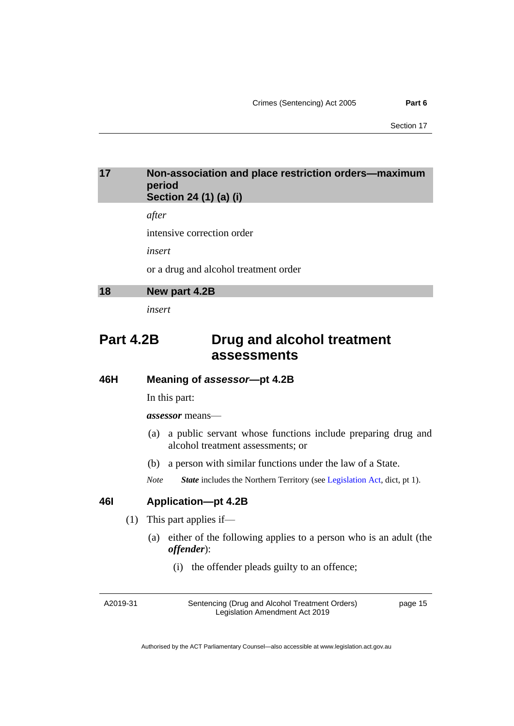### <span id="page-18-0"></span>**17 Non-association and place restriction orders—maximum period Section 24 (1) (a) (i)**

*after*

intensive correction order

*insert*

or a drug and alcohol treatment order

<span id="page-18-1"></span>

| 18 | New part 4.2B |
|----|---------------|
|----|---------------|

*insert*

# **Part 4.2B Drug and alcohol treatment assessments**

#### **46H Meaning of** *assessor***—pt 4.2B**

In this part:

*assessor* means—

- (a) a public servant whose functions include preparing drug and alcohol treatment assessments; or
- (b) a person with similar functions under the law of a State.
- *Note State* includes the Northern Territory (see [Legislation Act,](http://www.legislation.act.gov.au/a/2001-14) dict, pt 1).

### **46I Application—pt 4.2B**

- (1) This part applies if—
	- (a) either of the following applies to a person who is an adult (the *offender*):
		- (i) the offender pleads guilty to an offence;

A2019-31

Sentencing (Drug and Alcohol Treatment Orders) Legislation Amendment Act 2019

page 15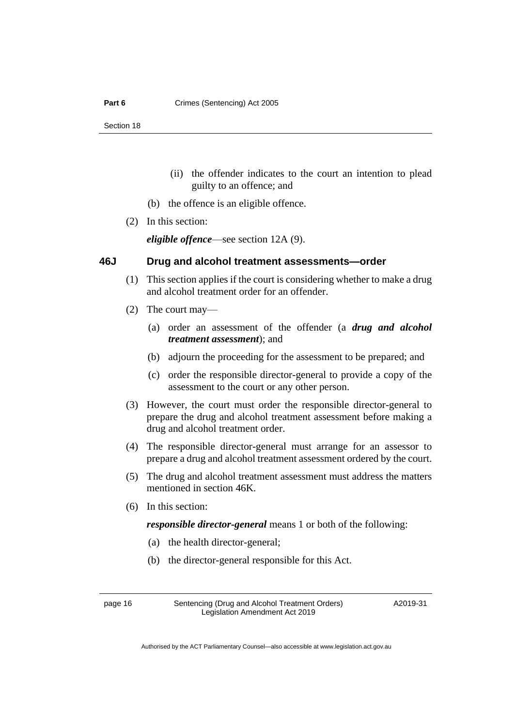- (ii) the offender indicates to the court an intention to plead guilty to an offence; and
- (b) the offence is an eligible offence.
- (2) In this section:

*eligible offence*—see section 12A (9).

# **46J Drug and alcohol treatment assessments—order**

- (1) This section applies if the court is considering whether to make a drug and alcohol treatment order for an offender.
- (2) The court may—
	- (a) order an assessment of the offender (a *drug and alcohol treatment assessment*); and
	- (b) adjourn the proceeding for the assessment to be prepared; and
	- (c) order the responsible director-general to provide a copy of the assessment to the court or any other person.
- (3) However, the court must order the responsible director-general to prepare the drug and alcohol treatment assessment before making a drug and alcohol treatment order.
- (4) The responsible director-general must arrange for an assessor to prepare a drug and alcohol treatment assessment ordered by the court.
- (5) The drug and alcohol treatment assessment must address the matters mentioned in section 46K.
- (6) In this section:

*responsible director-general* means 1 or both of the following:

- (a) the health director-general;
- (b) the director-general responsible for this Act.

page 16 Sentencing (Drug and Alcohol Treatment Orders) Legislation Amendment Act 2019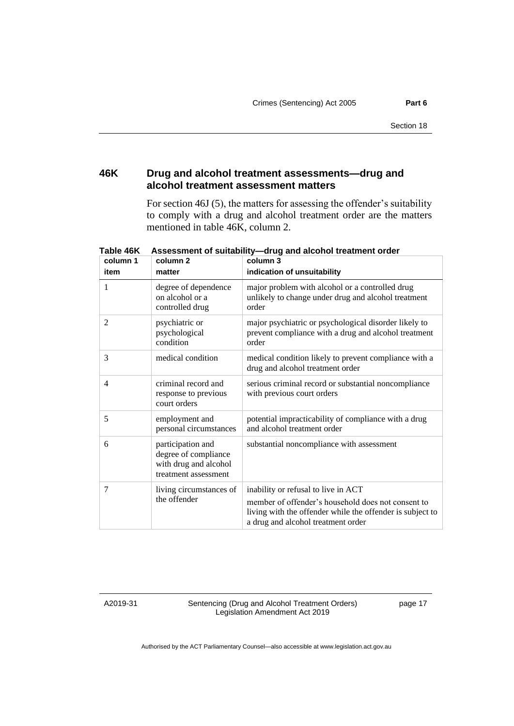# **46K Drug and alcohol treatment assessments—drug and alcohol treatment assessment matters**

For section 46J (5), the matters for assessing the offender's suitability to comply with a drug and alcohol treatment order are the matters mentioned in table 46K, column 2.

| column 1<br>item | column 2<br>matter                                                                         | column 3<br>indication of unsuitability                                                                                                                                                      |
|------------------|--------------------------------------------------------------------------------------------|----------------------------------------------------------------------------------------------------------------------------------------------------------------------------------------------|
| 1                | degree of dependence<br>on alcohol or a<br>controlled drug                                 | major problem with alcohol or a controlled drug<br>unlikely to change under drug and alcohol treatment<br>order                                                                              |
| $\overline{2}$   | psychiatric or<br>psychological<br>condition                                               | major psychiatric or psychological disorder likely to<br>prevent compliance with a drug and alcohol treatment<br>order                                                                       |
| 3                | medical condition                                                                          | medical condition likely to prevent compliance with a<br>drug and alcohol treatment order                                                                                                    |
| 4                | criminal record and<br>response to previous<br>court orders                                | serious criminal record or substantial noncompliance<br>with previous court orders                                                                                                           |
| 5                | employment and<br>personal circumstances                                                   | potential impracticability of compliance with a drug<br>and alcohol treatment order                                                                                                          |
| 6                | participation and<br>degree of compliance<br>with drug and alcohol<br>treatment assessment | substantial noncompliance with assessment                                                                                                                                                    |
| $\tau$           | living circumstances of<br>the offender                                                    | inability or refusal to live in ACT<br>member of offender's household does not consent to<br>living with the offender while the offender is subject to<br>a drug and alcohol treatment order |

**Table 46K Assessment of suitability—drug and alcohol treatment order**

A2019-31

Sentencing (Drug and Alcohol Treatment Orders) Legislation Amendment Act 2019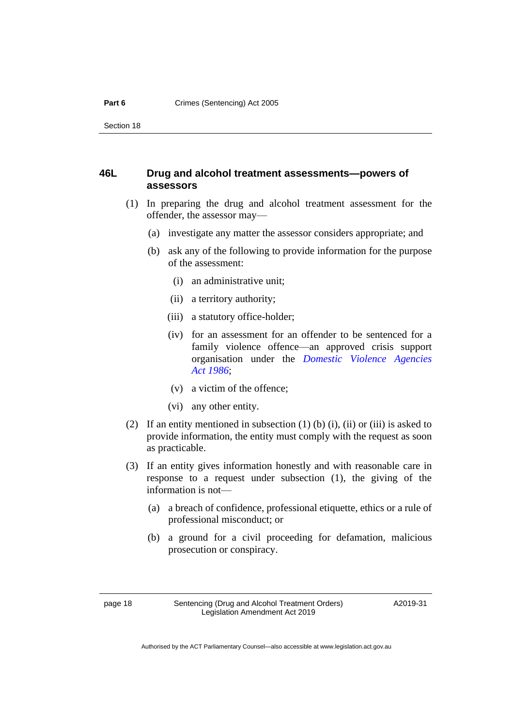#### **46L Drug and alcohol treatment assessments—powers of assessors**

- (1) In preparing the drug and alcohol treatment assessment for the offender, the assessor may—
	- (a) investigate any matter the assessor considers appropriate; and
	- (b) ask any of the following to provide information for the purpose of the assessment:
		- (i) an administrative unit;
		- (ii) a territory authority;
		- (iii) a statutory office-holder;
		- (iv) for an assessment for an offender to be sentenced for a family violence offence—an approved crisis support organisation under the *[Domestic Violence Agencies](http://www.legislation.act.gov.au/a/1986-52)  Act [1986](http://www.legislation.act.gov.au/a/1986-52)*;
		- (v) a victim of the offence;
		- (vi) any other entity.
- (2) If an entity mentioned in subsection  $(1)$  (b)  $(i)$ ,  $(ii)$  or  $(iii)$  is asked to provide information, the entity must comply with the request as soon as practicable.
- (3) If an entity gives information honestly and with reasonable care in response to a request under subsection (1), the giving of the information is not—
	- (a) a breach of confidence, professional etiquette, ethics or a rule of professional misconduct; or
	- (b) a ground for a civil proceeding for defamation, malicious prosecution or conspiracy.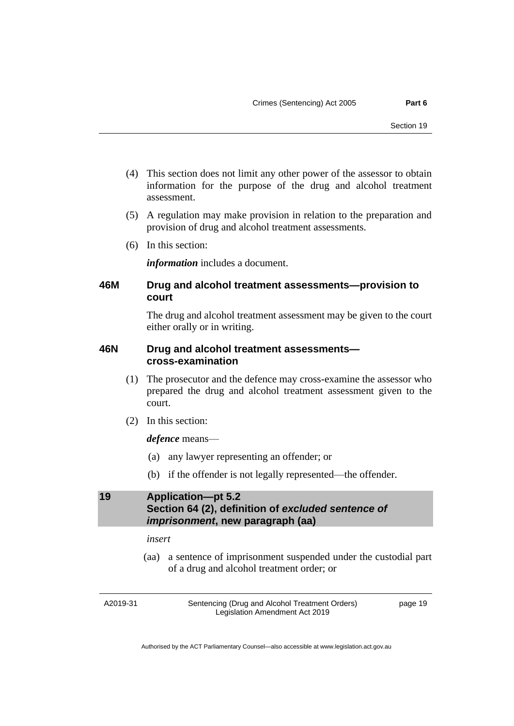- (4) This section does not limit any other power of the assessor to obtain information for the purpose of the drug and alcohol treatment assessment.
- (5) A regulation may make provision in relation to the preparation and provision of drug and alcohol treatment assessments.
- (6) In this section:

*information* includes a document.

# **46M Drug and alcohol treatment assessments—provision to court**

The drug and alcohol treatment assessment may be given to the court either orally or in writing.

### **46N Drug and alcohol treatment assessments cross-examination**

- (1) The prosecutor and the defence may cross-examine the assessor who prepared the drug and alcohol treatment assessment given to the court.
- (2) In this section:

### *defence* means—

- (a) any lawyer representing an offender; or
- (b) if the offender is not legally represented—the offender.

# <span id="page-22-0"></span>**19 Application—pt 5.2 Section 64 (2), definition of** *excluded sentence of imprisonment***, new paragraph (aa)**

#### *insert*

(aa) a sentence of imprisonment suspended under the custodial part of a drug and alcohol treatment order; or

A2019-31

Sentencing (Drug and Alcohol Treatment Orders) Legislation Amendment Act 2019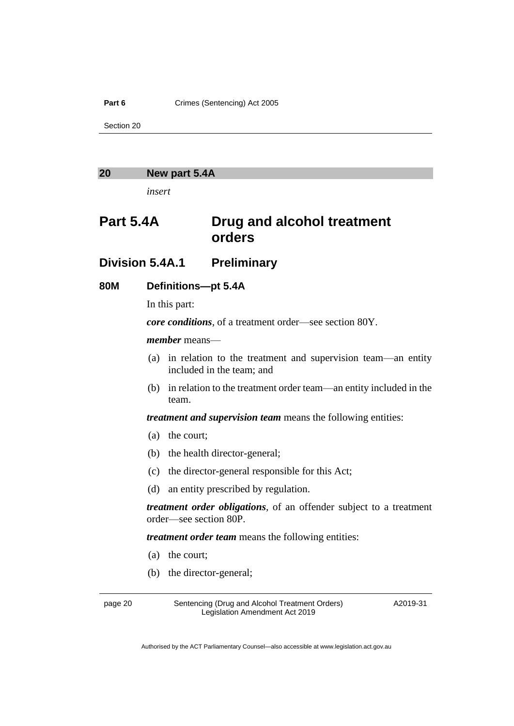**Part 6** Crimes (Sentencing) Act 2005

Section 20

### <span id="page-23-0"></span>**20 New part 5.4A**

*insert*

# **Part 5.4A Drug and alcohol treatment orders**

# **Division 5.4A.1 Preliminary**

### **80M Definitions—pt 5.4A**

In this part:

*core conditions*, of a treatment order—see section 80Y.

#### *member* means—

- (a) in relation to the treatment and supervision team—an entity included in the team; and
- (b) in relation to the treatment order team—an entity included in the team.

*treatment and supervision team* means the following entities:

- (a) the court;
- (b) the health director-general;
- (c) the director-general responsible for this Act;
- (d) an entity prescribed by regulation.

*treatment order obligations,* of an offender subject to a treatment order—see section 80P.

*treatment order team* means the following entities:

- (a) the court;
- (b) the director-general;

page 20 Sentencing (Drug and Alcohol Treatment Orders) Legislation Amendment Act 2019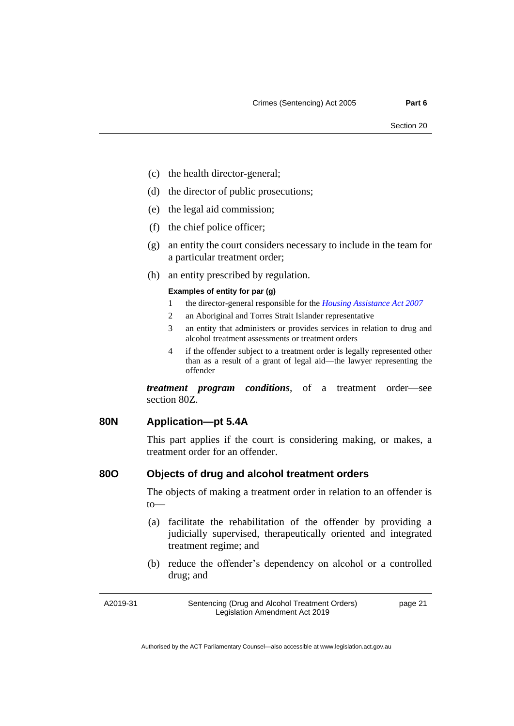- (c) the health director-general;
- (d) the director of public prosecutions;
- (e) the legal aid commission;
- (f) the chief police officer;
- (g) an entity the court considers necessary to include in the team for a particular treatment order;
- (h) an entity prescribed by regulation.

#### **Examples of entity for par (g)**

- 1 the director-general responsible for the *[Housing Assistance Act 2007](http://www.legislation.act.gov.au/a/2007-8)*
- 2 an Aboriginal and Torres Strait Islander representative
- 3 an entity that administers or provides services in relation to drug and alcohol treatment assessments or treatment orders
- 4 if the offender subject to a treatment order is legally represented other than as a result of a grant of legal aid—the lawyer representing the offender

*treatment program conditions*, of a treatment order—see section 80Z.

#### **80N Application—pt 5.4A**

This part applies if the court is considering making, or makes, a treatment order for an offender.

#### **80O Objects of drug and alcohol treatment orders**

The objects of making a treatment order in relation to an offender is to—

- (a) facilitate the rehabilitation of the offender by providing a judicially supervised, therapeutically oriented and integrated treatment regime; and
- (b) reduce the offender's dependency on alcohol or a controlled drug; and

A2019-31

Sentencing (Drug and Alcohol Treatment Orders) Legislation Amendment Act 2019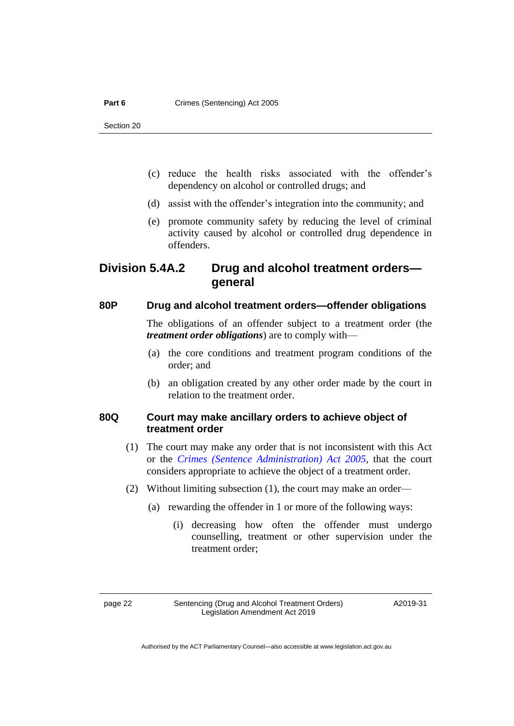- (c) reduce the health risks associated with the offender's dependency on alcohol or controlled drugs; and
- (d) assist with the offender's integration into the community; and
- (e) promote community safety by reducing the level of criminal activity caused by alcohol or controlled drug dependence in offenders.

# **Division 5.4A.2 Drug and alcohol treatment orders general**

### **80P Drug and alcohol treatment orders—offender obligations**

The obligations of an offender subject to a treatment order (the *treatment order obligations*) are to comply with—

- (a) the core conditions and treatment program conditions of the order; and
- (b) an obligation created by any other order made by the court in relation to the treatment order.

### **80Q Court may make ancillary orders to achieve object of treatment order**

- (1) The court may make any order that is not inconsistent with this Act or the *[Crimes \(Sentence Administration\) Act 2005](http://www.legislation.act.gov.au/a/2005-59)*, that the court considers appropriate to achieve the object of a treatment order.
- (2) Without limiting subsection (1), the court may make an order—
	- (a) rewarding the offender in 1 or more of the following ways:
		- (i) decreasing how often the offender must undergo counselling, treatment or other supervision under the treatment order;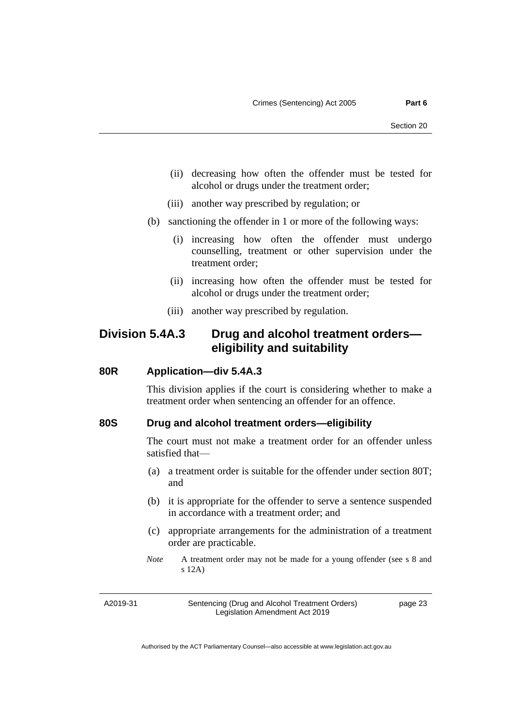- (ii) decreasing how often the offender must be tested for alcohol or drugs under the treatment order;
- (iii) another way prescribed by regulation; or
- (b) sanctioning the offender in 1 or more of the following ways:
	- (i) increasing how often the offender must undergo counselling, treatment or other supervision under the treatment order;
	- (ii) increasing how often the offender must be tested for alcohol or drugs under the treatment order;
	- (iii) another way prescribed by regulation.

# **Division 5.4A.3 Drug and alcohol treatment orders eligibility and suitability**

#### **80R Application—div 5.4A.3**

This division applies if the court is considering whether to make a treatment order when sentencing an offender for an offence.

#### **80S Drug and alcohol treatment orders—eligibility**

The court must not make a treatment order for an offender unless satisfied that—

- (a) a treatment order is suitable for the offender under section 80T; and
- (b) it is appropriate for the offender to serve a sentence suspended in accordance with a treatment order; and
- (c) appropriate arrangements for the administration of a treatment order are practicable.
- *Note* A treatment order may not be made for a young offender (see s 8 and s 12A)

A2019-31

Sentencing (Drug and Alcohol Treatment Orders) Legislation Amendment Act 2019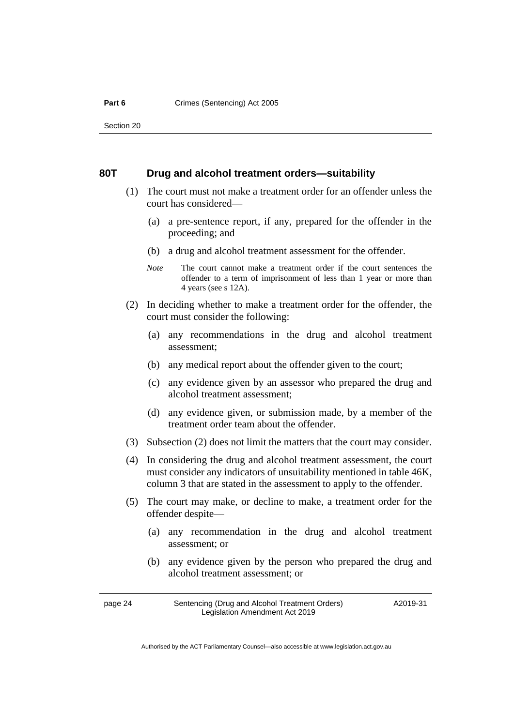#### **80T Drug and alcohol treatment orders—suitability**

- (1) The court must not make a treatment order for an offender unless the court has considered—
	- (a) a pre-sentence report, if any, prepared for the offender in the proceeding; and
	- (b) a drug and alcohol treatment assessment for the offender.
	- *Note* The court cannot make a treatment order if the court sentences the offender to a term of imprisonment of less than 1 year or more than 4 years (see s 12A).
- (2) In deciding whether to make a treatment order for the offender, the court must consider the following:
	- (a) any recommendations in the drug and alcohol treatment assessment;
	- (b) any medical report about the offender given to the court;
	- (c) any evidence given by an assessor who prepared the drug and alcohol treatment assessment;
	- (d) any evidence given, or submission made, by a member of the treatment order team about the offender.
- (3) Subsection (2) does not limit the matters that the court may consider.
- (4) In considering the drug and alcohol treatment assessment, the court must consider any indicators of unsuitability mentioned in table 46K, column 3 that are stated in the assessment to apply to the offender.
- (5) The court may make, or decline to make, a treatment order for the offender despite—
	- (a) any recommendation in the drug and alcohol treatment assessment; or
	- (b) any evidence given by the person who prepared the drug and alcohol treatment assessment; or

page 24 Sentencing (Drug and Alcohol Treatment Orders) Legislation Amendment Act 2019 A2019-31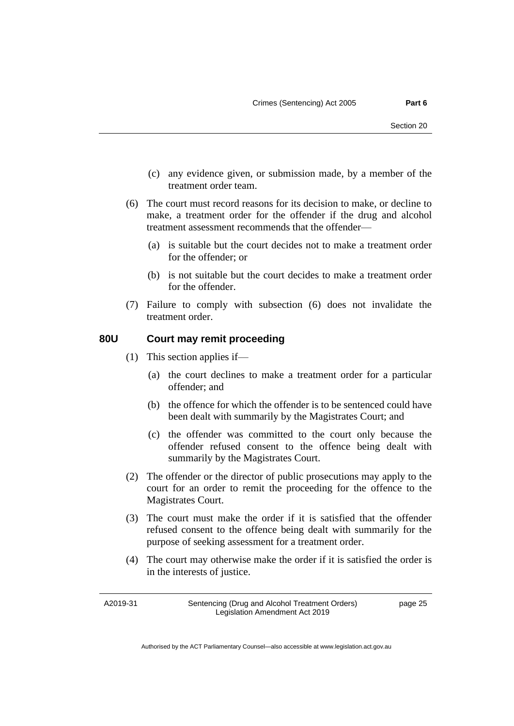- (c) any evidence given, or submission made, by a member of the treatment order team.
- (6) The court must record reasons for its decision to make, or decline to make, a treatment order for the offender if the drug and alcohol treatment assessment recommends that the offender—
	- (a) is suitable but the court decides not to make a treatment order for the offender; or
	- (b) is not suitable but the court decides to make a treatment order for the offender.
- (7) Failure to comply with subsection (6) does not invalidate the treatment order.

#### **80U Court may remit proceeding**

- (1) This section applies if—
	- (a) the court declines to make a treatment order for a particular offender; and
	- (b) the offence for which the offender is to be sentenced could have been dealt with summarily by the Magistrates Court; and
	- (c) the offender was committed to the court only because the offender refused consent to the offence being dealt with summarily by the Magistrates Court.
- (2) The offender or the director of public prosecutions may apply to the court for an order to remit the proceeding for the offence to the Magistrates Court.
- (3) The court must make the order if it is satisfied that the offender refused consent to the offence being dealt with summarily for the purpose of seeking assessment for a treatment order.
- (4) The court may otherwise make the order if it is satisfied the order is in the interests of justice.

A2019-31

Sentencing (Drug and Alcohol Treatment Orders) Legislation Amendment Act 2019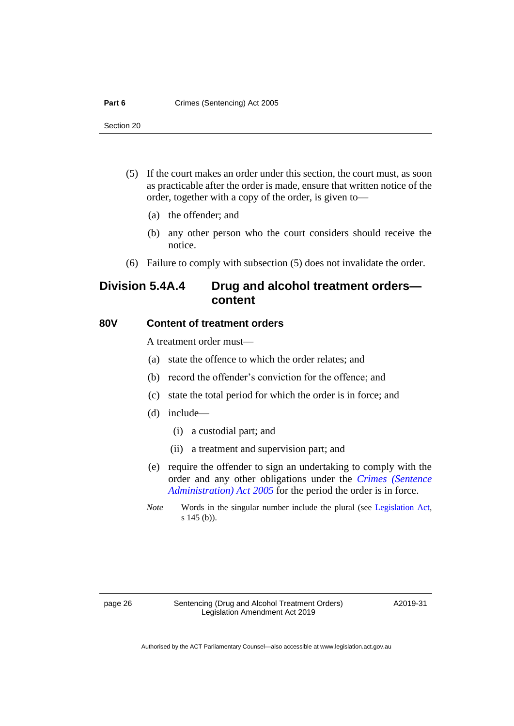- (5) If the court makes an order under this section, the court must, as soon as practicable after the order is made, ensure that written notice of the order, together with a copy of the order, is given to—
	- (a) the offender; and
	- (b) any other person who the court considers should receive the notice.
- (6) Failure to comply with subsection (5) does not invalidate the order.

# **Division 5.4A.4 Drug and alcohol treatment orders content**

#### **80V Content of treatment orders**

A treatment order must—

- (a) state the offence to which the order relates; and
- (b) record the offender's conviction for the offence; and
- (c) state the total period for which the order is in force; and
- (d) include—
	- (i) a custodial part; and
	- (ii) a treatment and supervision part; and
- (e) require the offender to sign an undertaking to comply with the order and any other obligations under the *[Crimes \(Sentence](http://www.legislation.act.gov.au/a/2005-59)  [Administration\) Act](http://www.legislation.act.gov.au/a/2005-59) 2005* for the period the order is in force.
- *Note* Words in the singular number include the plural (see [Legislation Act,](http://www.legislation.act.gov.au/a/2001-14) s 145 (b)).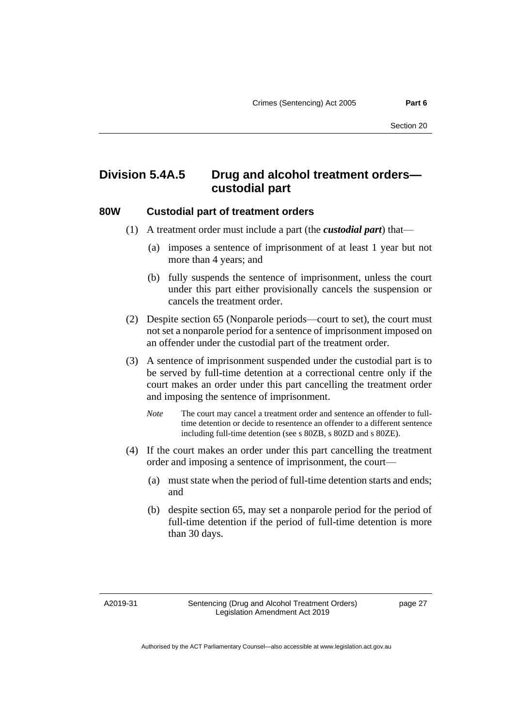# **Division 5.4A.5 Drug and alcohol treatment orders custodial part**

#### **80W Custodial part of treatment orders**

- (1) A treatment order must include a part (the *custodial part*) that—
	- (a) imposes a sentence of imprisonment of at least 1 year but not more than 4 years; and
	- (b) fully suspends the sentence of imprisonment, unless the court under this part either provisionally cancels the suspension or cancels the treatment order.
- (2) Despite section 65 (Nonparole periods—court to set), the court must not set a nonparole period for a sentence of imprisonment imposed on an offender under the custodial part of the treatment order.
- (3) A sentence of imprisonment suspended under the custodial part is to be served by full-time detention at a correctional centre only if the court makes an order under this part cancelling the treatment order and imposing the sentence of imprisonment.
	- *Note* The court may cancel a treatment order and sentence an offender to fulltime detention or decide to resentence an offender to a different sentence including full-time detention (see s 80ZB, s 80ZD and s 80ZE).
- (4) If the court makes an order under this part cancelling the treatment order and imposing a sentence of imprisonment, the court—
	- (a) must state when the period of full-time detention starts and ends; and
	- (b) despite section 65, may set a nonparole period for the period of full-time detention if the period of full-time detention is more than 30 days.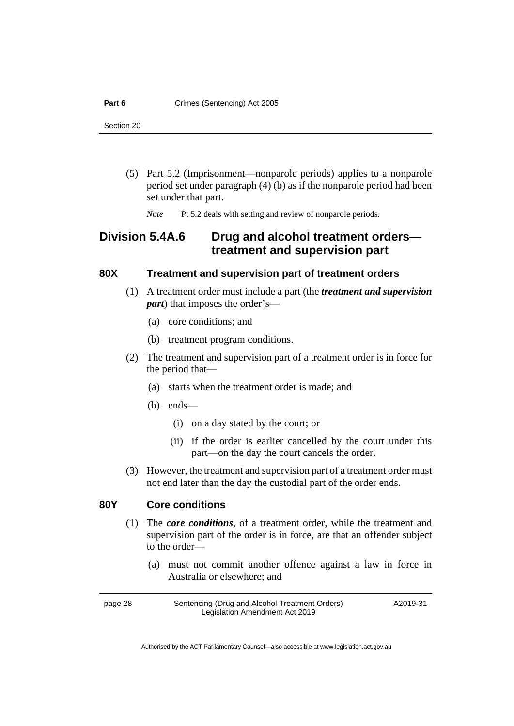- (5) Part 5.2 (Imprisonment—nonparole periods) applies to a nonparole period set under paragraph (4) (b) as if the nonparole period had been set under that part.
	- *Note* Pt 5.2 deals with setting and review of nonparole periods.

# **Division 5.4A.6 Drug and alcohol treatment orders treatment and supervision part**

### **80X Treatment and supervision part of treatment orders**

- (1) A treatment order must include a part (the *treatment and supervision part*) that imposes the order's—
	- (a) core conditions; and
	- (b) treatment program conditions.
- (2) The treatment and supervision part of a treatment order is in force for the period that—
	- (a) starts when the treatment order is made; and
	- (b) ends—
		- (i) on a day stated by the court; or
		- (ii) if the order is earlier cancelled by the court under this part—on the day the court cancels the order.
- (3) However, the treatment and supervision part of a treatment order must not end later than the day the custodial part of the order ends.

# **80Y Core conditions**

- (1) The *core conditions*, of a treatment order, while the treatment and supervision part of the order is in force, are that an offender subject to the order—
	- (a) must not commit another offence against a law in force in Australia or elsewhere; and

page 28 Sentencing (Drug and Alcohol Treatment Orders) Legislation Amendment Act 2019 A2019-31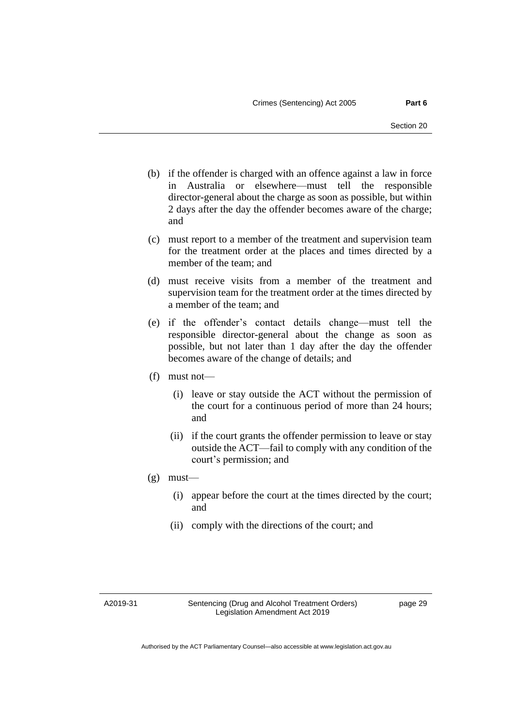- (b) if the offender is charged with an offence against a law in force in Australia or elsewhere—must tell the responsible director-general about the charge as soon as possible, but within 2 days after the day the offender becomes aware of the charge; and
- (c) must report to a member of the treatment and supervision team for the treatment order at the places and times directed by a member of the team; and
- (d) must receive visits from a member of the treatment and supervision team for the treatment order at the times directed by a member of the team; and
- (e) if the offender's contact details change—must tell the responsible director-general about the change as soon as possible, but not later than 1 day after the day the offender becomes aware of the change of details; and
- (f) must not—
	- (i) leave or stay outside the ACT without the permission of the court for a continuous period of more than 24 hours; and
	- (ii) if the court grants the offender permission to leave or stay outside the ACT—fail to comply with any condition of the court's permission; and
- $(g)$  must—
	- (i) appear before the court at the times directed by the court; and
	- (ii) comply with the directions of the court; and

A2019-31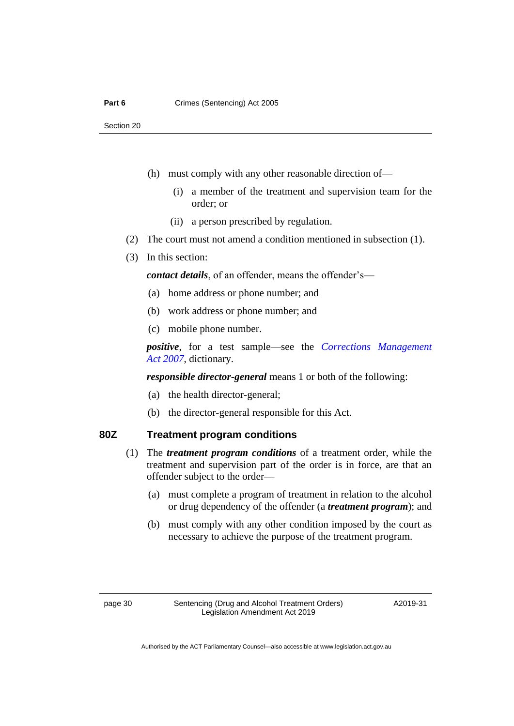- (h) must comply with any other reasonable direction of—
	- (i) a member of the treatment and supervision team for the order; or
	- (ii) a person prescribed by regulation.
- (2) The court must not amend a condition mentioned in subsection (1).
- (3) In this section:

*contact details*, of an offender, means the offender's—

- (a) home address or phone number; and
- (b) work address or phone number; and
- (c) mobile phone number.

*positive*, for a test sample—see the *[Corrections Management](http://www.legislation.act.gov.au/a/2007-15)  Act [2007](http://www.legislation.act.gov.au/a/2007-15)*, dictionary.

*responsible director-general* means 1 or both of the following:

- (a) the health director-general;
- (b) the director-general responsible for this Act.

#### **80Z Treatment program conditions**

- (1) The *treatment program conditions* of a treatment order, while the treatment and supervision part of the order is in force, are that an offender subject to the order—
	- (a) must complete a program of treatment in relation to the alcohol or drug dependency of the offender (a *treatment program*); and
	- (b) must comply with any other condition imposed by the court as necessary to achieve the purpose of the treatment program.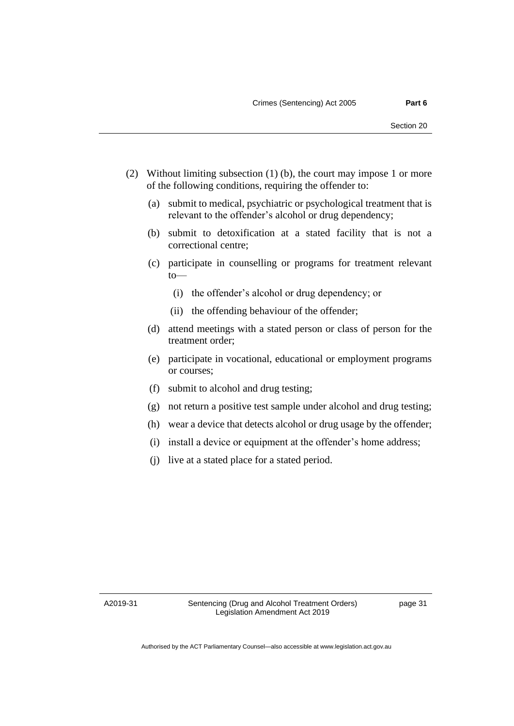- (2) Without limiting subsection (1) (b), the court may impose 1 or more of the following conditions, requiring the offender to:
	- (a) submit to medical, psychiatric or psychological treatment that is relevant to the offender's alcohol or drug dependency;
	- (b) submit to detoxification at a stated facility that is not a correctional centre;
	- (c) participate in counselling or programs for treatment relevant to—
		- (i) the offender's alcohol or drug dependency; or
		- (ii) the offending behaviour of the offender;
	- (d) attend meetings with a stated person or class of person for the treatment order;
	- (e) participate in vocational, educational or employment programs or courses;
	- (f) submit to alcohol and drug testing;
	- (g) not return a positive test sample under alcohol and drug testing;
	- (h) wear a device that detects alcohol or drug usage by the offender;
	- (i) install a device or equipment at the offender's home address;
	- (j) live at a stated place for a stated period.

A2019-31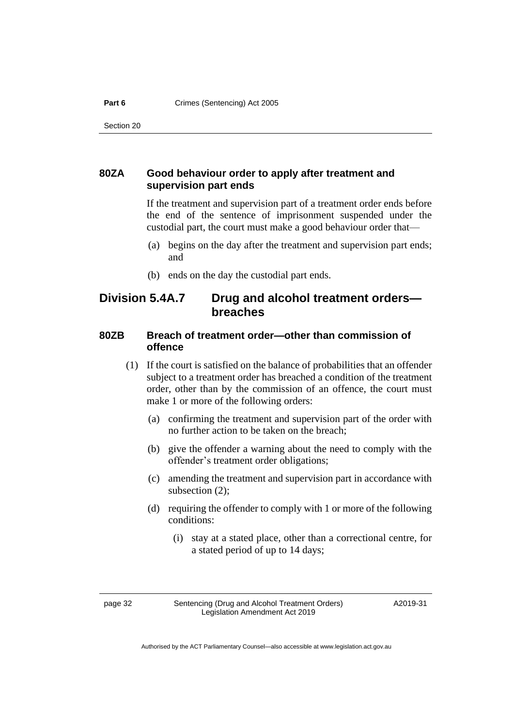# **80ZA Good behaviour order to apply after treatment and supervision part ends**

If the treatment and supervision part of a treatment order ends before the end of the sentence of imprisonment suspended under the custodial part, the court must make a good behaviour order that—

- (a) begins on the day after the treatment and supervision part ends; and
- (b) ends on the day the custodial part ends.

# **Division 5.4A.7 Drug and alcohol treatment orders breaches**

# **80ZB Breach of treatment order—other than commission of offence**

- (1) If the court is satisfied on the balance of probabilities that an offender subject to a treatment order has breached a condition of the treatment order, other than by the commission of an offence, the court must make 1 or more of the following orders:
	- (a) confirming the treatment and supervision part of the order with no further action to be taken on the breach;
	- (b) give the offender a warning about the need to comply with the offender's treatment order obligations;
	- (c) amending the treatment and supervision part in accordance with subsection (2);
	- (d) requiring the offender to comply with 1 or more of the following conditions:
		- (i) stay at a stated place, other than a correctional centre, for a stated period of up to 14 days;

page 32 Sentencing (Drug and Alcohol Treatment Orders) Legislation Amendment Act 2019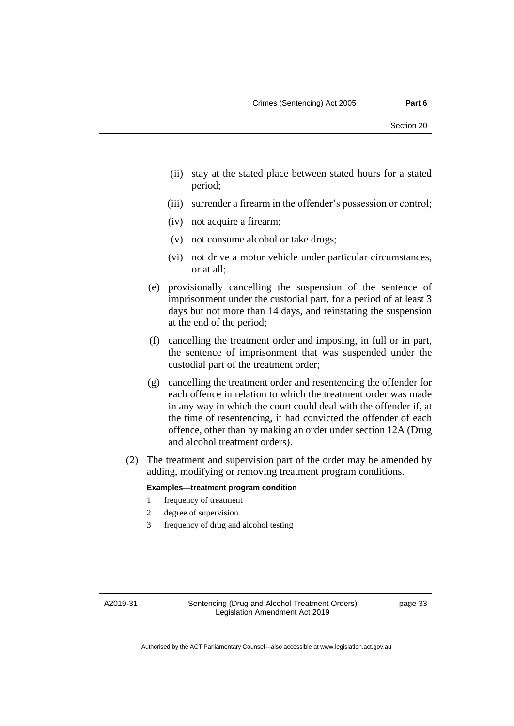- (ii) stay at the stated place between stated hours for a stated period;
- (iii) surrender a firearm in the offender's possession or control;
- (iv) not acquire a firearm;
- (v) not consume alcohol or take drugs;
- (vi) not drive a motor vehicle under particular circumstances, or at all;
- (e) provisionally cancelling the suspension of the sentence of imprisonment under the custodial part, for a period of at least 3 days but not more than 14 days, and reinstating the suspension at the end of the period;
- (f) cancelling the treatment order and imposing, in full or in part, the sentence of imprisonment that was suspended under the custodial part of the treatment order;
- (g) cancelling the treatment order and resentencing the offender for each offence in relation to which the treatment order was made in any way in which the court could deal with the offender if, at the time of resentencing, it had convicted the offender of each offence, other than by making an order under section 12A (Drug and alcohol treatment orders).
- (2) The treatment and supervision part of the order may be amended by adding, modifying or removing treatment program conditions.

#### **Examples—treatment program condition**

- 1 frequency of treatment
- 2 degree of supervision
- 3 frequency of drug and alcohol testing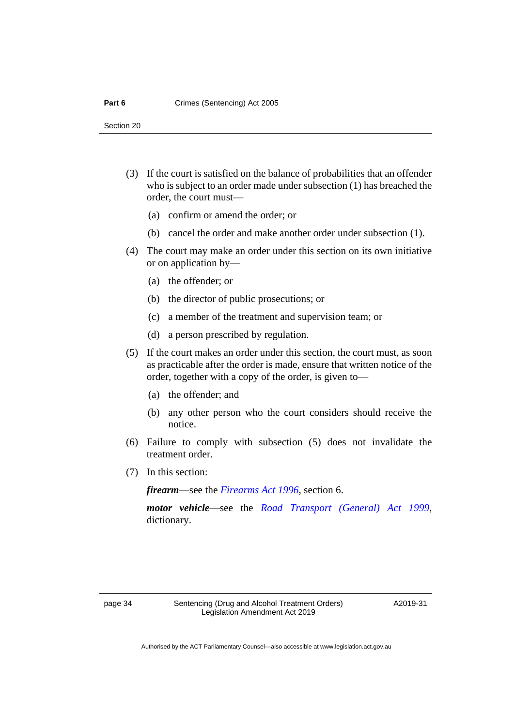- (3) If the court is satisfied on the balance of probabilities that an offender who is subject to an order made under subsection (1) has breached the order, the court must—
	- (a) confirm or amend the order; or
	- (b) cancel the order and make another order under subsection (1).
- (4) The court may make an order under this section on its own initiative or on application by—
	- (a) the offender; or
	- (b) the director of public prosecutions; or
	- (c) a member of the treatment and supervision team; or
	- (d) a person prescribed by regulation.
- (5) If the court makes an order under this section, the court must, as soon as practicable after the order is made, ensure that written notice of the order, together with a copy of the order, is given to—
	- (a) the offender; and
	- (b) any other person who the court considers should receive the notice.
- (6) Failure to comply with subsection (5) does not invalidate the treatment order.
- (7) In this section:

*firearm*—see the *[Firearms Act 1996](http://www.legislation.act.gov.au/a/1996-74)*, section 6.

*motor vehicle*—see the *[Road Transport \(General\) Act 1999](http://www.legislation.act.gov.au/a/1999-77)*, dictionary.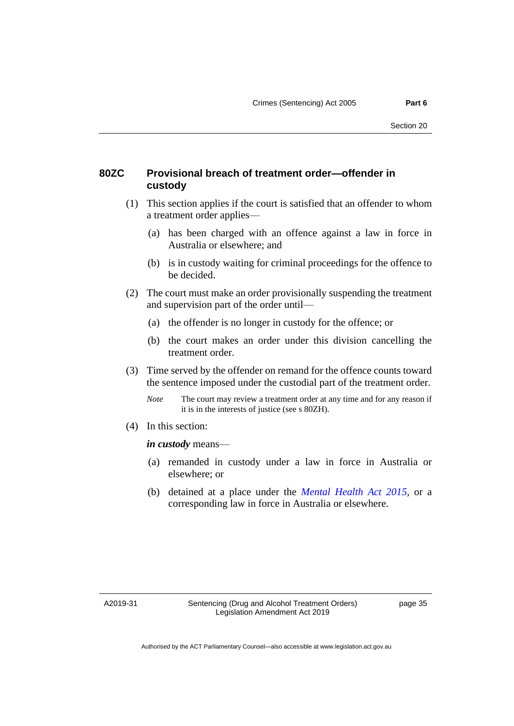### **80ZC Provisional breach of treatment order—offender in custody**

- (1) This section applies if the court is satisfied that an offender to whom a treatment order applies—
	- (a) has been charged with an offence against a law in force in Australia or elsewhere; and
	- (b) is in custody waiting for criminal proceedings for the offence to be decided.
- (2) The court must make an order provisionally suspending the treatment and supervision part of the order until—
	- (a) the offender is no longer in custody for the offence; or
	- (b) the court makes an order under this division cancelling the treatment order.
- (3) Time served by the offender on remand for the offence counts toward the sentence imposed under the custodial part of the treatment order.
	- *Note* The court may review a treatment order at any time and for any reason if it is in the interests of justice (see s 80ZH).
- (4) In this section:

*in custody* means—

- (a) remanded in custody under a law in force in Australia or elsewhere; or
- (b) detained at a place under the *[Mental Health Act 2015](http://www.legislation.act.gov.au/a/2015-38)*, or a corresponding law in force in Australia or elsewhere.

A2019-31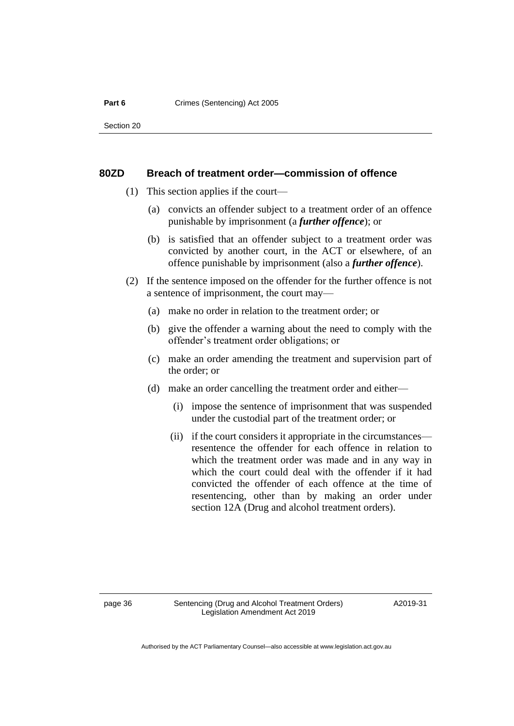#### Part 6 **Crimes** (Sentencing) Act 2005

Section 20

#### **80ZD Breach of treatment order—commission of offence**

- (1) This section applies if the court—
	- (a) convicts an offender subject to a treatment order of an offence punishable by imprisonment (a *further offence*); or
	- (b) is satisfied that an offender subject to a treatment order was convicted by another court, in the ACT or elsewhere, of an offence punishable by imprisonment (also a *further offence*).
- (2) If the sentence imposed on the offender for the further offence is not a sentence of imprisonment, the court may—
	- (a) make no order in relation to the treatment order; or
	- (b) give the offender a warning about the need to comply with the offender's treatment order obligations; or
	- (c) make an order amending the treatment and supervision part of the order; or
	- (d) make an order cancelling the treatment order and either—
		- (i) impose the sentence of imprisonment that was suspended under the custodial part of the treatment order; or
		- (ii) if the court considers it appropriate in the circumstances resentence the offender for each offence in relation to which the treatment order was made and in any way in which the court could deal with the offender if it had convicted the offender of each offence at the time of resentencing, other than by making an order under section 12A (Drug and alcohol treatment orders).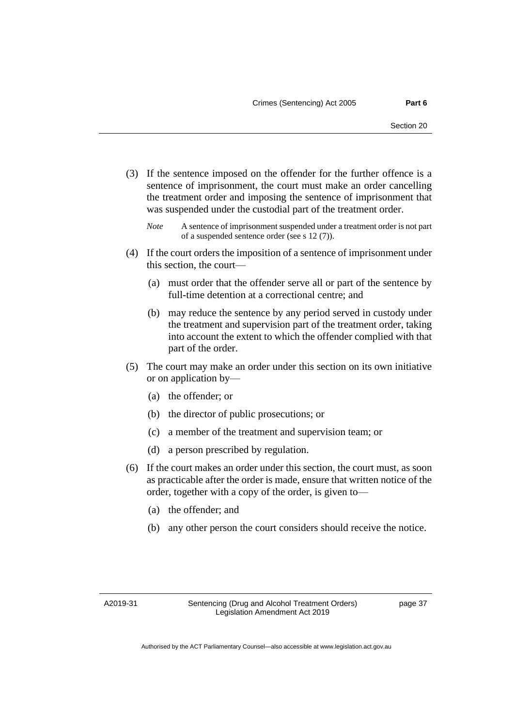- (3) If the sentence imposed on the offender for the further offence is a sentence of imprisonment, the court must make an order cancelling the treatment order and imposing the sentence of imprisonment that was suspended under the custodial part of the treatment order.
	- *Note* A sentence of imprisonment suspended under a treatment order is not part of a suspended sentence order (see s 12 (7)).
- (4) If the court orders the imposition of a sentence of imprisonment under this section, the court—
	- (a) must order that the offender serve all or part of the sentence by full-time detention at a correctional centre; and
	- (b) may reduce the sentence by any period served in custody under the treatment and supervision part of the treatment order, taking into account the extent to which the offender complied with that part of the order.
- (5) The court may make an order under this section on its own initiative or on application by—
	- (a) the offender; or
	- (b) the director of public prosecutions; or
	- (c) a member of the treatment and supervision team; or
	- (d) a person prescribed by regulation.
- (6) If the court makes an order under this section, the court must, as soon as practicable after the order is made, ensure that written notice of the order, together with a copy of the order, is given to—
	- (a) the offender; and
	- (b) any other person the court considers should receive the notice.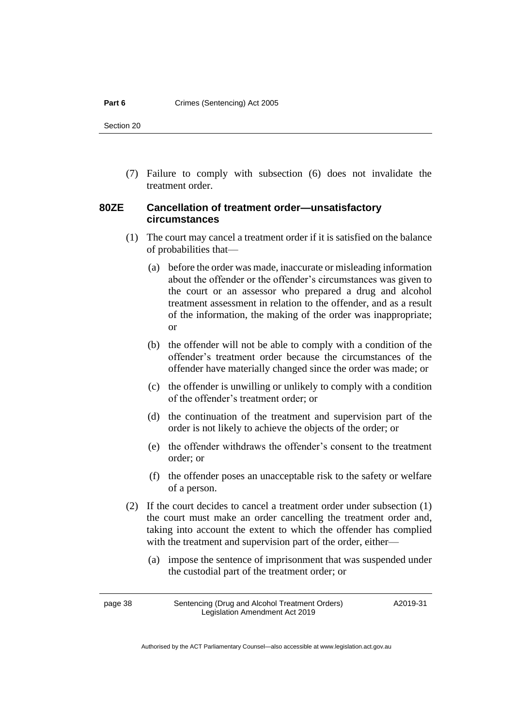(7) Failure to comply with subsection (6) does not invalidate the treatment order.

### **80ZE Cancellation of treatment order—unsatisfactory circumstances**

- (1) The court may cancel a treatment order if it is satisfied on the balance of probabilities that—
	- (a) before the order was made, inaccurate or misleading information about the offender or the offender's circumstances was given to the court or an assessor who prepared a drug and alcohol treatment assessment in relation to the offender, and as a result of the information, the making of the order was inappropriate; or
	- (b) the offender will not be able to comply with a condition of the offender's treatment order because the circumstances of the offender have materially changed since the order was made; or
	- (c) the offender is unwilling or unlikely to comply with a condition of the offender's treatment order; or
	- (d) the continuation of the treatment and supervision part of the order is not likely to achieve the objects of the order; or
	- (e) the offender withdraws the offender's consent to the treatment order; or
	- (f) the offender poses an unacceptable risk to the safety or welfare of a person.
- (2) If the court decides to cancel a treatment order under subsection (1) the court must make an order cancelling the treatment order and, taking into account the extent to which the offender has complied with the treatment and supervision part of the order, either—
	- (a) impose the sentence of imprisonment that was suspended under the custodial part of the treatment order; or

page 38 Sentencing (Drug and Alcohol Treatment Orders) Legislation Amendment Act 2019 A2019-31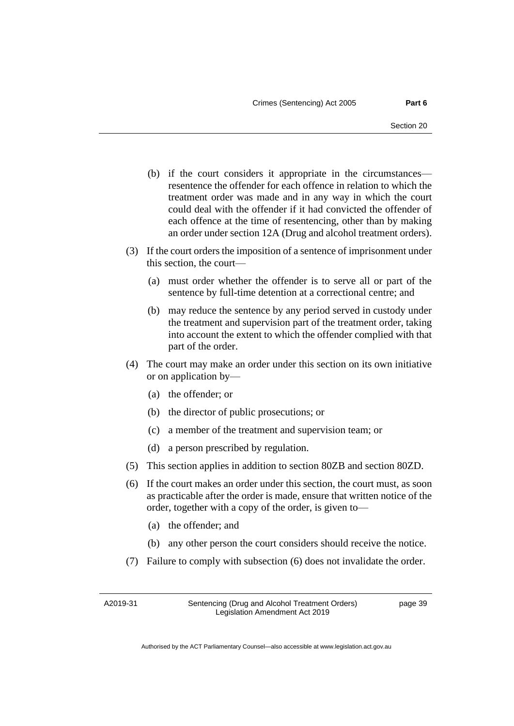- (b) if the court considers it appropriate in the circumstances resentence the offender for each offence in relation to which the treatment order was made and in any way in which the court could deal with the offender if it had convicted the offender of each offence at the time of resentencing, other than by making an order under section 12A (Drug and alcohol treatment orders).
- (3) If the court orders the imposition of a sentence of imprisonment under this section, the court—
	- (a) must order whether the offender is to serve all or part of the sentence by full-time detention at a correctional centre; and
	- (b) may reduce the sentence by any period served in custody under the treatment and supervision part of the treatment order, taking into account the extent to which the offender complied with that part of the order.
- (4) The court may make an order under this section on its own initiative or on application by—
	- (a) the offender; or
	- (b) the director of public prosecutions; or
	- (c) a member of the treatment and supervision team; or
	- (d) a person prescribed by regulation.
- (5) This section applies in addition to section 80ZB and section 80ZD.
- (6) If the court makes an order under this section, the court must, as soon as practicable after the order is made, ensure that written notice of the order, together with a copy of the order, is given to—
	- (a) the offender; and
	- (b) any other person the court considers should receive the notice.
- (7) Failure to comply with subsection (6) does not invalidate the order.

A2019-31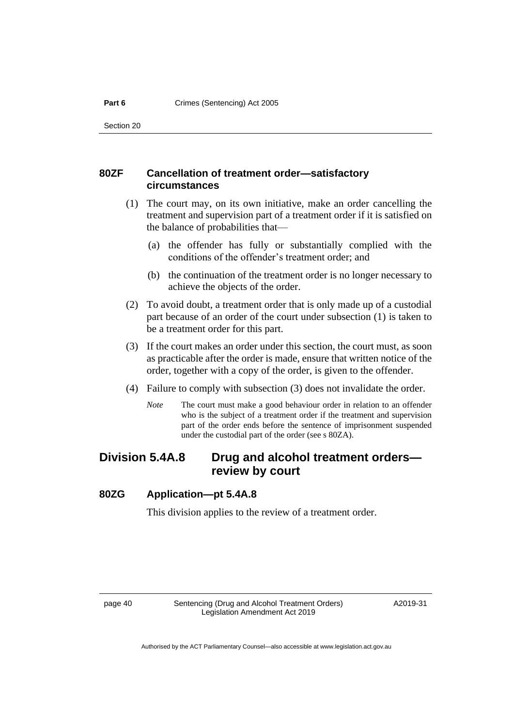### **80ZF Cancellation of treatment order—satisfactory circumstances**

- (1) The court may, on its own initiative, make an order cancelling the treatment and supervision part of a treatment order if it is satisfied on the balance of probabilities that—
	- (a) the offender has fully or substantially complied with the conditions of the offender's treatment order; and
	- (b) the continuation of the treatment order is no longer necessary to achieve the objects of the order.
- (2) To avoid doubt, a treatment order that is only made up of a custodial part because of an order of the court under subsection (1) is taken to be a treatment order for this part.
- (3) If the court makes an order under this section, the court must, as soon as practicable after the order is made, ensure that written notice of the order, together with a copy of the order, is given to the offender.
- (4) Failure to comply with subsection (3) does not invalidate the order.
	- *Note* The court must make a good behaviour order in relation to an offender who is the subject of a treatment order if the treatment and supervision part of the order ends before the sentence of imprisonment suspended under the custodial part of the order (see s 80ZA).

# **Division 5.4A.8 Drug and alcohol treatment orders review by court**

### **80ZG Application—pt 5.4A.8**

This division applies to the review of a treatment order.

page 40 Sentencing (Drug and Alcohol Treatment Orders) Legislation Amendment Act 2019

A2019-31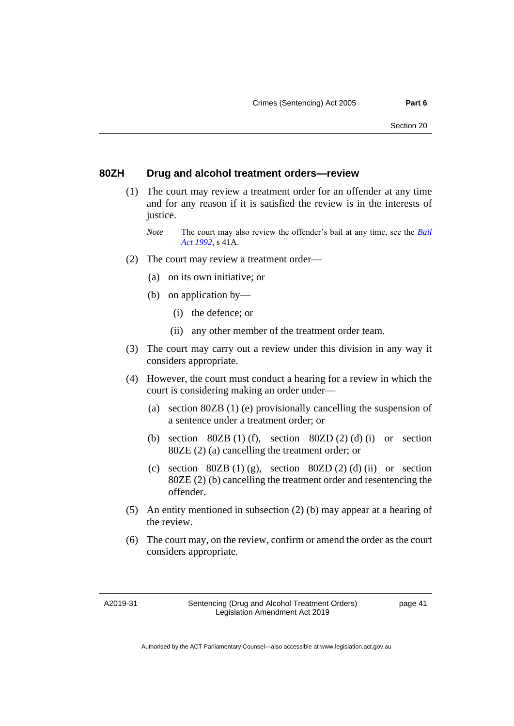#### **80ZH Drug and alcohol treatment orders—review**

- (1) The court may review a treatment order for an offender at any time and for any reason if it is satisfied the review is in the interests of justice.
	- *Note* The court may also review the offender's bail at any time, see the *[Bail](http://www.legislation.act.gov.au/a/1992-8)  [Act 1992](http://www.legislation.act.gov.au/a/1992-8)*, s 41A.
- (2) The court may review a treatment order—
	- (a) on its own initiative; or
	- (b) on application by—
		- (i) the defence; or
		- (ii) any other member of the treatment order team.
- (3) The court may carry out a review under this division in any way it considers appropriate.
- (4) However, the court must conduct a hearing for a review in which the court is considering making an order under—
	- (a) section 80ZB (1) (e) provisionally cancelling the suspension of a sentence under a treatment order; or
	- (b) section  $80ZB(1)$  (f), section  $80ZD(2)$  (d) (i) or section 80ZE (2) (a) cancelling the treatment order; or
	- (c) section  $80ZB(1)(g)$ , section  $80ZD(2)(d)$  (ii) or section 80ZE (2) (b) cancelling the treatment order and resentencing the offender.
- (5) An entity mentioned in subsection (2) (b) may appear at a hearing of the review.
- (6) The court may, on the review, confirm or amend the order as the court considers appropriate.

A2019-31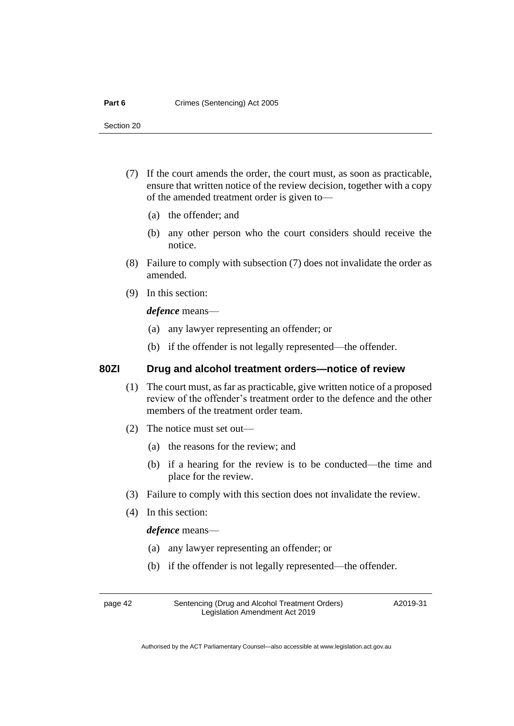- (7) If the court amends the order, the court must, as soon as practicable, ensure that written notice of the review decision, together with a copy of the amended treatment order is given to—
	- (a) the offender; and
	- (b) any other person who the court considers should receive the notice.
- (8) Failure to comply with subsection (7) does not invalidate the order as amended.
- (9) In this section:

*defence* means—

- (a) any lawyer representing an offender; or
- (b) if the offender is not legally represented—the offender.

#### **80ZI Drug and alcohol treatment orders—notice of review**

- (1) The court must, as far as practicable, give written notice of a proposed review of the offender's treatment order to the defence and the other members of the treatment order team.
- (2) The notice must set out—
	- (a) the reasons for the review; and
	- (b) if a hearing for the review is to be conducted—the time and place for the review.
- (3) Failure to comply with this section does not invalidate the review.
- (4) In this section:

*defence* means—

- (a) any lawyer representing an offender; or
- (b) if the offender is not legally represented—the offender.

page 42 Sentencing (Drug and Alcohol Treatment Orders) Legislation Amendment Act 2019

A2019-31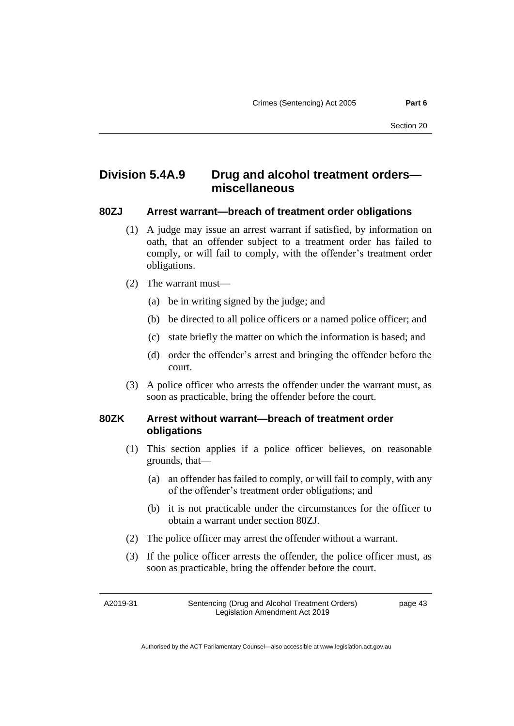# **Division 5.4A.9 Drug and alcohol treatment orders miscellaneous**

#### **80ZJ Arrest warrant—breach of treatment order obligations**

- (1) A judge may issue an arrest warrant if satisfied, by information on oath, that an offender subject to a treatment order has failed to comply, or will fail to comply, with the offender's treatment order obligations.
- (2) The warrant must—
	- (a) be in writing signed by the judge; and
	- (b) be directed to all police officers or a named police officer; and
	- (c) state briefly the matter on which the information is based; and
	- (d) order the offender's arrest and bringing the offender before the court.
- (3) A police officer who arrests the offender under the warrant must, as soon as practicable, bring the offender before the court.

### **80ZK Arrest without warrant—breach of treatment order obligations**

- (1) This section applies if a police officer believes, on reasonable grounds, that—
	- (a) an offender has failed to comply, or will fail to comply, with any of the offender's treatment order obligations; and
	- (b) it is not practicable under the circumstances for the officer to obtain a warrant under section 80ZJ.
- (2) The police officer may arrest the offender without a warrant.
- (3) If the police officer arrests the offender, the police officer must, as soon as practicable, bring the offender before the court.

A2019-31

Sentencing (Drug and Alcohol Treatment Orders) Legislation Amendment Act 2019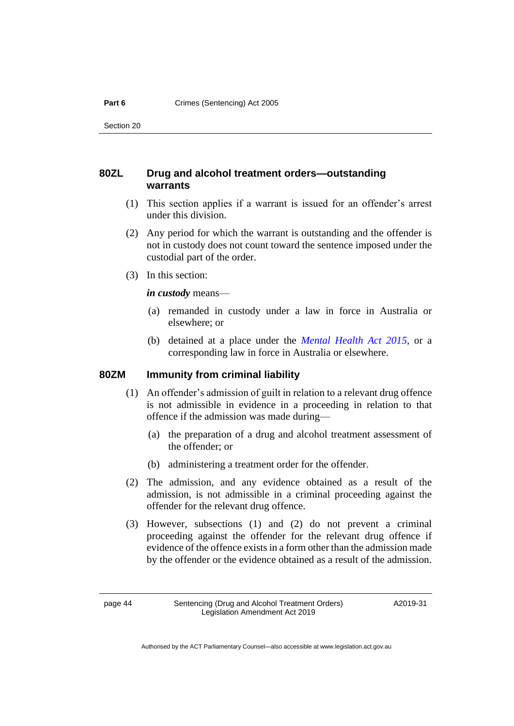# **80ZL Drug and alcohol treatment orders—outstanding warrants**

- (1) This section applies if a warrant is issued for an offender's arrest under this division.
- (2) Any period for which the warrant is outstanding and the offender is not in custody does not count toward the sentence imposed under the custodial part of the order.
- (3) In this section:

*in custody* means—

- (a) remanded in custody under a law in force in Australia or elsewhere; or
- (b) detained at a place under the *[Mental Health Act 2015](http://www.legislation.act.gov.au/a/2015-38)*, or a corresponding law in force in Australia or elsewhere.

# **80ZM Immunity from criminal liability**

- (1) An offender's admission of guilt in relation to a relevant drug offence is not admissible in evidence in a proceeding in relation to that offence if the admission was made during—
	- (a) the preparation of a drug and alcohol treatment assessment of the offender; or
	- (b) administering a treatment order for the offender.
- (2) The admission, and any evidence obtained as a result of the admission, is not admissible in a criminal proceeding against the offender for the relevant drug offence.
- (3) However, subsections (1) and (2) do not prevent a criminal proceeding against the offender for the relevant drug offence if evidence of the offence existsin a form other than the admission made by the offender or the evidence obtained as a result of the admission.

A2019-31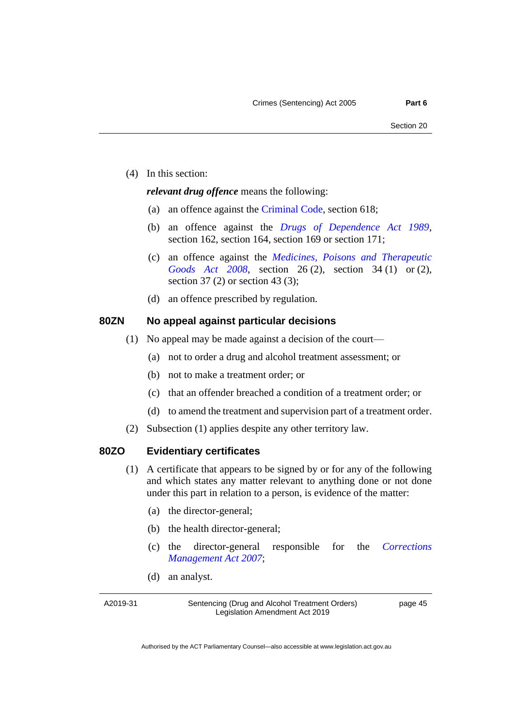(4) In this section:

#### *relevant drug offence* means the following:

- (a) an offence against the [Criminal Code,](http://www.legislation.act.gov.au/a/2002-51) section 618;
- (b) an offence against the *[Drugs of Dependence Act 1989](http://www.legislation.act.gov.au/a/alt_a1989-11co)*, section 162, section 164, section 169 or section 171;
- (c) an offence against the *[Medicines, Poisons and Therapeutic](http://www.legislation.act.gov.au/a/2008-26)  [Goods Act 2008](http://www.legislation.act.gov.au/a/2008-26)*, section 26 (2), section 34 (1) or (2), section 37 (2) or section 43 (3);
- (d) an offence prescribed by regulation.

#### **80ZN No appeal against particular decisions**

- (1) No appeal may be made against a decision of the court—
	- (a) not to order a drug and alcohol treatment assessment; or
	- (b) not to make a treatment order; or
	- (c) that an offender breached a condition of a treatment order; or
	- (d) to amend the treatment and supervision part of a treatment order.
- (2) Subsection (1) applies despite any other territory law.

### **80ZO Evidentiary certificates**

- (1) A certificate that appears to be signed by or for any of the following and which states any matter relevant to anything done or not done under this part in relation to a person, is evidence of the matter:
	- (a) the director-general;
	- (b) the health director-general;
	- (c) the director-general responsible for the *[Corrections](http://www.legislation.act.gov.au/a/2007-15)  [Management Act 2007](http://www.legislation.act.gov.au/a/2007-15)*;
	- (d) an analyst.

A2019-31

Sentencing (Drug and Alcohol Treatment Orders) Legislation Amendment Act 2019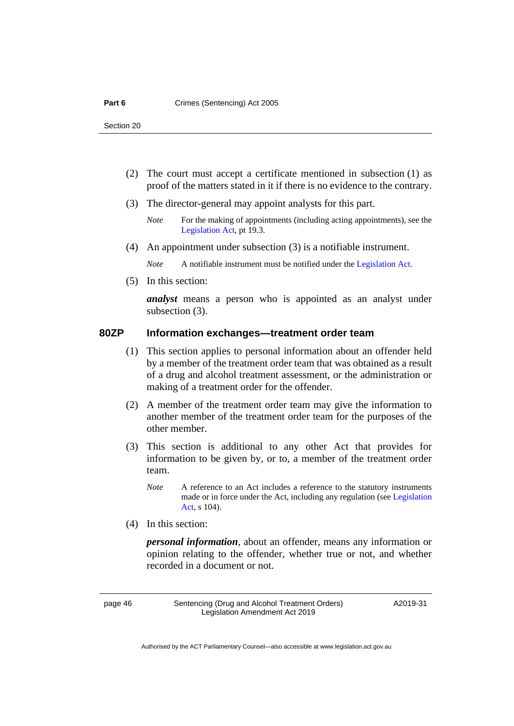- (2) The court must accept a certificate mentioned in subsection (1) as proof of the matters stated in it if there is no evidence to the contrary.
- (3) The director-general may appoint analysts for this part.
	- *Note* For the making of appointments (including acting appointments), see the [Legislation Act,](http://www.legislation.act.gov.au/a/2001-14) pt 19.3.
- (4) An appointment under subsection (3) is a notifiable instrument.

*Note* A notifiable instrument must be notified under the [Legislation Act.](http://www.legislation.act.gov.au/a/2001-14)

(5) In this section:

*analyst* means a person who is appointed as an analyst under subsection (3).

#### **80ZP Information exchanges—treatment order team**

- (1) This section applies to personal information about an offender held by a member of the treatment order team that was obtained as a result of a drug and alcohol treatment assessment, or the administration or making of a treatment order for the offender.
- (2) A member of the treatment order team may give the information to another member of the treatment order team for the purposes of the other member.
- (3) This section is additional to any other Act that provides for information to be given by, or to, a member of the treatment order team.
	- *Note* A reference to an Act includes a reference to the statutory instruments made or in force under the Act, including any regulation (see [Legislation](http://www.legislation.act.gov.au/a/2001-14)  [Act,](http://www.legislation.act.gov.au/a/2001-14) s 104).
- (4) In this section:

*personal information*, about an offender, means any information or opinion relating to the offender, whether true or not, and whether recorded in a document or not.

page 46 Sentencing (Drug and Alcohol Treatment Orders) Legislation Amendment Act 2019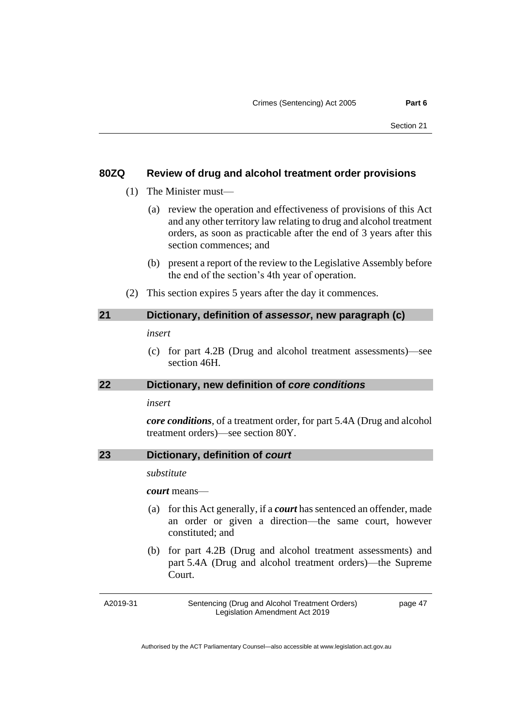#### **80ZQ Review of drug and alcohol treatment order provisions**

- (1) The Minister must—
	- (a) review the operation and effectiveness of provisions of this Act and any other territory law relating to drug and alcohol treatment orders, as soon as practicable after the end of 3 years after this section commences; and
	- (b) present a report of the review to the Legislative Assembly before the end of the section's 4th year of operation.
- (2) This section expires 5 years after the day it commences.

#### <span id="page-50-0"></span>**21 Dictionary, definition of** *assessor***, new paragraph (c)**

*insert*

(c) for part 4.2B (Drug and alcohol treatment assessments)—see section 46H.

#### <span id="page-50-1"></span>**22 Dictionary, new definition of** *core conditions*

#### *insert*

*core conditions*, of a treatment order, for part 5.4A (Drug and alcohol treatment orders)—see section 80Y.

### <span id="page-50-2"></span>**23 Dictionary, definition of** *court*

*substitute*

*court* means—

- (a) for this Act generally, if a *court* has sentenced an offender, made an order or given a direction—the same court, however constituted; and
- (b) for part 4.2B (Drug and alcohol treatment assessments) and part 5.4A (Drug and alcohol treatment orders)—the Supreme Court.

A2019-31

Sentencing (Drug and Alcohol Treatment Orders) Legislation Amendment Act 2019

page 47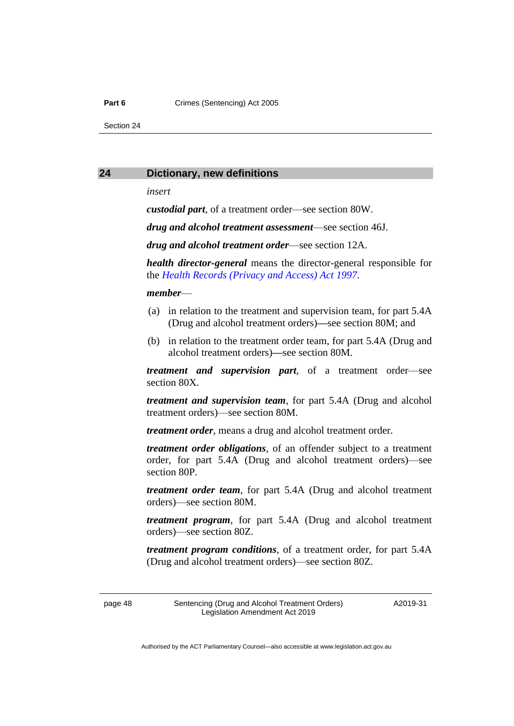#### Part 6 **Crimes** (Sentencing) Act 2005

Section 24

#### <span id="page-51-0"></span>**24 Dictionary, new definitions**

*insert*

*custodial part*, of a treatment order—see section 80W.

*drug and alcohol treatment assessment*—see section 46J.

*drug and alcohol treatment order*—see section 12A.

*health director-general* means the director-general responsible for the *[Health Records \(Privacy and Access\) Act 1997](http://www.legislation.act.gov.au/a/1997-125)*.

#### *member*—

- (a) in relation to the treatment and supervision team, for part 5.4A (Drug and alcohol treatment orders)**—**see section 80M; and
- (b) in relation to the treatment order team, for part 5.4A (Drug and alcohol treatment orders)**—**see section 80M.

*treatment and supervision part*, of a treatment order—see section 80X.

*treatment and supervision team*, for part 5.4A (Drug and alcohol treatment orders)—see section 80M.

*treatment order*, means a drug and alcohol treatment order.

*treatment order obligations*, of an offender subject to a treatment order, for part 5.4A (Drug and alcohol treatment orders)—see section 80P.

*treatment order team*, for part 5.4A (Drug and alcohol treatment orders)—see section 80M.

*treatment program*, for part 5.4A (Drug and alcohol treatment orders)—see section 80Z.

*treatment program conditions,* of a treatment order, for part 5.4A (Drug and alcohol treatment orders)—see section 80Z.

page 48 Sentencing (Drug and Alcohol Treatment Orders) Legislation Amendment Act 2019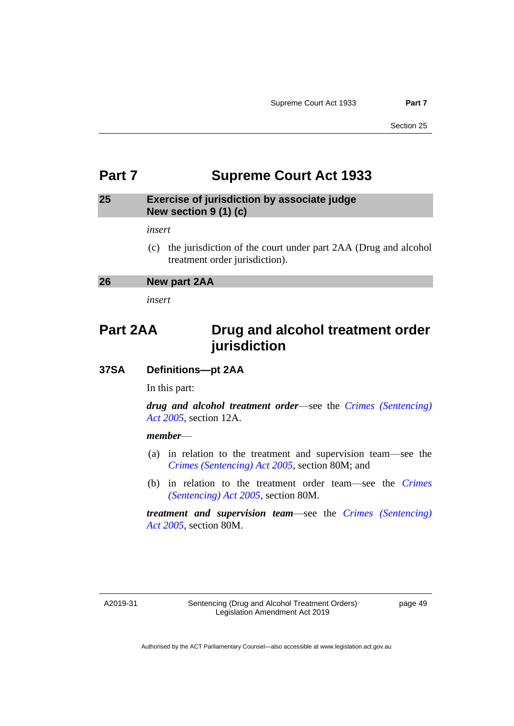# <span id="page-52-0"></span>**Part 7 Supreme Court Act 1933**

### <span id="page-52-1"></span>**25 Exercise of jurisdiction by associate judge New section 9 (1) (c)**

*insert*

(c) the jurisdiction of the court under part 2AA (Drug and alcohol treatment order jurisdiction).

<span id="page-52-2"></span>

| 26 | New part 2AA |  |
|----|--------------|--|
|----|--------------|--|

*insert*

# **Part 2AA Drug and alcohol treatment order jurisdiction**

### **37SA Definitions—pt 2AA**

In this part:

*drug and alcohol treatment order*—see the *[Crimes \(Sentencing\)](http://www.legislation.act.gov.au/a/2005-58)  Act [2005](http://www.legislation.act.gov.au/a/2005-58)*, section 12A.

#### *member*—

- (a) in relation to the treatment and supervision team—see the *[Crimes \(Sentencing\) Act 2005](http://www.legislation.act.gov.au/a/2005-58)*, section 80M; and
- (b) in relation to the treatment order team—see the *[Crimes](http://www.legislation.act.gov.au/a/2005-58)  [\(Sentencing\) Act 2005](http://www.legislation.act.gov.au/a/2005-58)*, section 80M.

*treatment and supervision team*—see the *[Crimes \(Sentencing\)](http://www.legislation.act.gov.au/a/2005-58)  Act [2005](http://www.legislation.act.gov.au/a/2005-58)*, section 80M.

A2019-31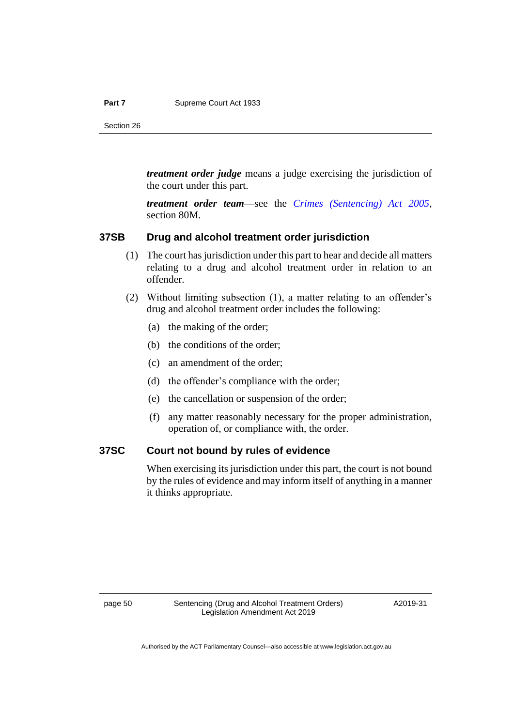#### Part 7 Supreme Court Act 1933

Section 26

*treatment order judge* means a judge exercising the jurisdiction of the court under this part.

*treatment order team*—see the *[Crimes \(Sentencing\) Act 2005](http://www.legislation.act.gov.au/a/2005-58)*, section 80M.

#### **37SB Drug and alcohol treatment order jurisdiction**

- (1) The court has jurisdiction under this part to hear and decide all matters relating to a drug and alcohol treatment order in relation to an offender.
- (2) Without limiting subsection (1), a matter relating to an offender's drug and alcohol treatment order includes the following:
	- (a) the making of the order;
	- (b) the conditions of the order;
	- (c) an amendment of the order;
	- (d) the offender's compliance with the order;
	- (e) the cancellation or suspension of the order;
	- (f) any matter reasonably necessary for the proper administration, operation of, or compliance with, the order.

### **37SC Court not bound by rules of evidence**

When exercising its jurisdiction under this part, the court is not bound by the rules of evidence and may inform itself of anything in a manner it thinks appropriate.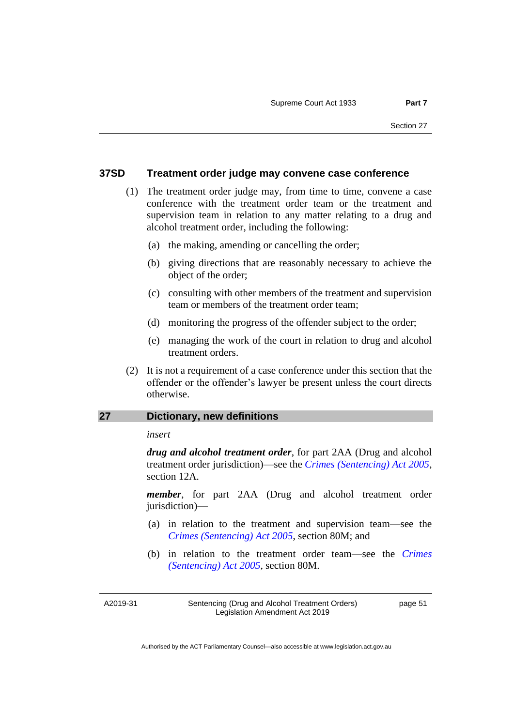#### **37SD Treatment order judge may convene case conference**

- (1) The treatment order judge may, from time to time, convene a case conference with the treatment order team or the treatment and supervision team in relation to any matter relating to a drug and alcohol treatment order, including the following:
	- (a) the making, amending or cancelling the order;
	- (b) giving directions that are reasonably necessary to achieve the object of the order;
	- (c) consulting with other members of the treatment and supervision team or members of the treatment order team;
	- (d) monitoring the progress of the offender subject to the order;
	- (e) managing the work of the court in relation to drug and alcohol treatment orders.
- (2) It is not a requirement of a case conference under this section that the offender or the offender's lawyer be present unless the court directs otherwise.

#### <span id="page-54-0"></span>**27 Dictionary, new definitions**

#### *insert*

*drug and alcohol treatment order*, for part 2AA (Drug and alcohol treatment order jurisdiction)—see the *[Crimes \(Sentencing\) Act 2005](http://www.legislation.act.gov.au/a/2005-58)*, section 12A.

*member*, for part 2AA (Drug and alcohol treatment order jurisdiction)*—*

- (a) in relation to the treatment and supervision team—see the *[Crimes \(Sentencing\) Act 2005](http://www.legislation.act.gov.au/a/2005-58)*, section 80M; and
- (b) in relation to the treatment order team—see the *[Crimes](http://www.legislation.act.gov.au/a/2005-58)  [\(Sentencing\) Act 2005](http://www.legislation.act.gov.au/a/2005-58)*, section 80M.

A2019-31

Sentencing (Drug and Alcohol Treatment Orders) Legislation Amendment Act 2019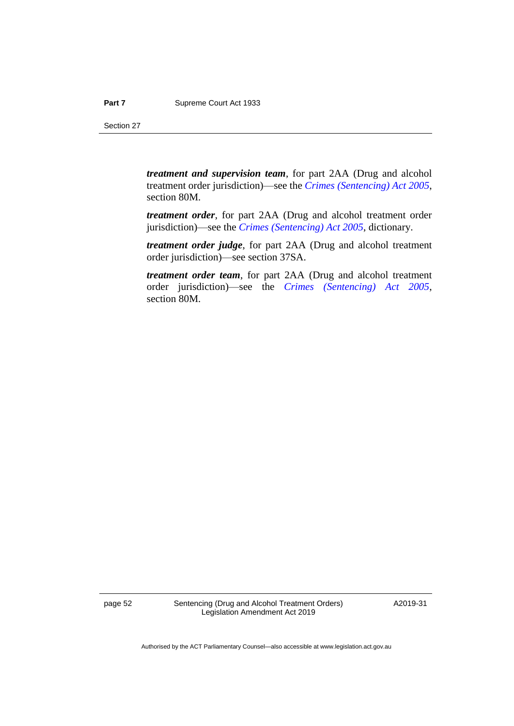*treatment and supervision team*, for part 2AA (Drug and alcohol treatment order jurisdiction)—see the *[Crimes \(Sentencing\) Act 2005](http://www.legislation.act.gov.au/a/2005-58)*, section 80M.

*treatment order*, for part 2AA (Drug and alcohol treatment order jurisdiction)—see the *[Crimes \(Sentencing\) Act 2005](http://www.legislation.act.gov.au/a/2005-58)*, dictionary.

*treatment order judge*, for part 2AA (Drug and alcohol treatment order jurisdiction)—see section 37SA.

*treatment order team*, for part 2AA (Drug and alcohol treatment order jurisdiction)—see the *[Crimes \(Sentencing\) Act 2005](http://www.legislation.act.gov.au/a/2005-58)*, section 80M.

page 52 Sentencing (Drug and Alcohol Treatment Orders) Legislation Amendment Act 2019

A2019-31